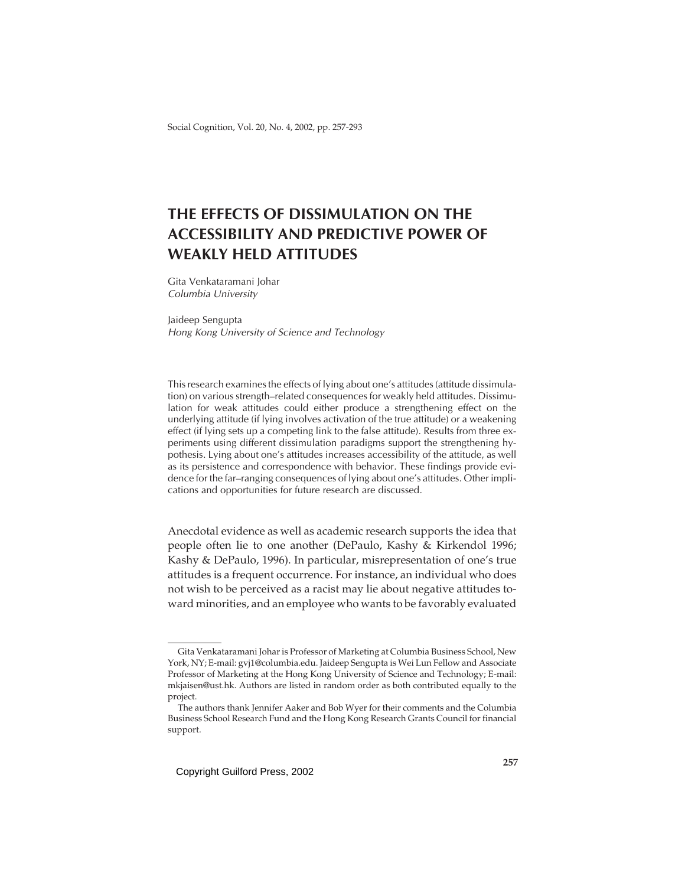Social Cognition, Vol. 20, No. 4, 2002, pp. 257-293

# **THE EFFECTS OF DISSIMULATION ON THE ACCESSIBILITY AND PREDICTIVE POWER OF WEAKLY HELD ATTITUDES**

Gita Venkataramani Johar Columbia University

Jaideep Sengupta Hong Kong University of Science and Technology

This research examines the effects of lying about one's attitudes (attitude dissimulation) on various strength–related consequences for weakly held attitudes. Dissimulation for weak attitudes could either produce a strengthening effect on the underlying attitude (if lying involves activation of the true attitude) or a weakening effect (if lying sets up a competing link to the false attitude). Results from three experiments using different dissimulation paradigms support the strengthening hypothesis. Lying about one's attitudes increases accessibility of the attitude, as well as its persistence and correspondence with behavior. These findings provide evidence for the far–ranging consequences of lying about one's attitudes. Other implications and opportunities for future research are discussed.

Anecdotal evidence as well as academic research supports the idea that people often lie to one another (DePaulo, Kashy & Kirkendol 1996; Kashy & DePaulo, 1996). In particular, misrepresentation of one's true attitudes is a frequent occurrence. For instance, an individual who does not wish to be perceived as a racist may lie about negative attitudes toward minorities, and an employee who wants to be favorably evaluated

Gita Venkataramani Johar is Professor of Marketing at Columbia Business School, New York, NY; E-mail: gvj1@columbia.edu. Jaideep Sengupta is Wei Lun Fellow and Associate Professor of Marketing at the Hong Kong University of Science and Technology; E-mail: mkjaisen@ust.hk. Authors are listed in random order as both contributed equally to the project.

The authors thank Jennifer Aaker and Bob Wyer for their comments and the Columbia Business School Research Fund and the Hong Kong Research Grants Council for financial support.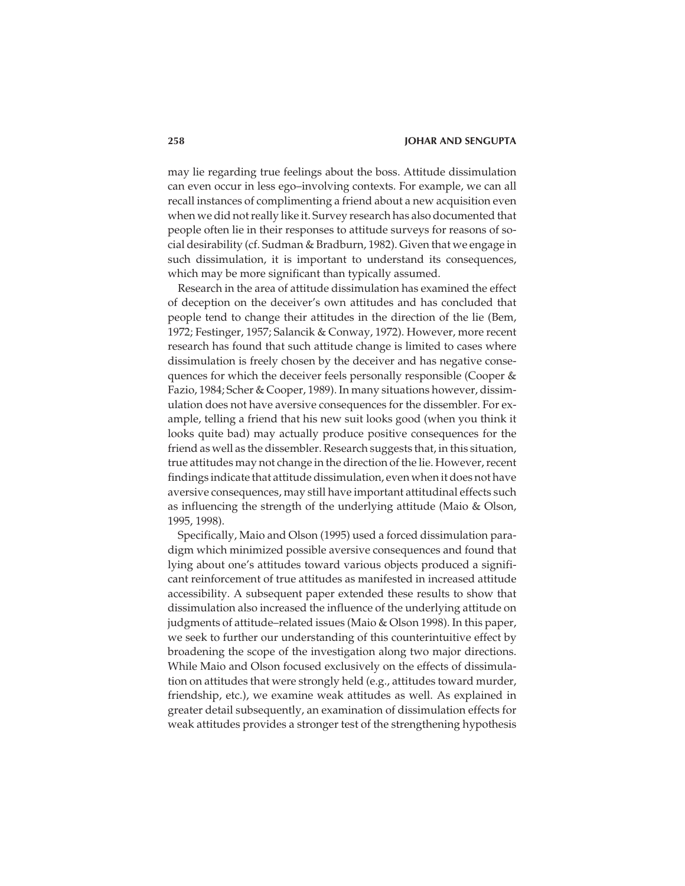#### **258 JOHAR AND SENGUPTA**

may lie regarding true feelings about the boss. Attitude dissimulation can even occur in less ego–involving contexts. For example, we can all recall instances of complimenting a friend about a new acquisition even when we did not really like it. Survey research has also documented that people often lie in their responses to attitude surveys for reasons of social desirability (cf. Sudman & Bradburn, 1982). Given that we engage in such dissimulation, it is important to understand its consequences, which may be more significant than typically assumed.

Research in the area of attitude dissimulation has examined the effect of deception on the deceiver's own attitudes and has concluded that people tend to change their attitudes in the direction of the lie (Bem, 1972; Festinger, 1957; Salancik & Conway, 1972). However, more recent research has found that such attitude change is limited to cases where dissimulation is freely chosen by the deceiver and has negative consequences for which the deceiver feels personally responsible (Cooper & Fazio, 1984; Scher & Cooper, 1989). In many situations however, dissimulation does not have aversive consequences for the dissembler. For example, telling a friend that his new suit looks good (when you think it looks quite bad) may actually produce positive consequences for the friend as well as the dissembler. Research suggests that, in this situation, true attitudes may not change in the direction of the lie. However, recent findings indicate that attitude dissimulation, even when it does not have aversive consequences, may still have important attitudinal effects such as influencing the strength of the underlying attitude (Maio & Olson, 1995, 1998).

Specifically, Maio and Olson (1995) used a forced dissimulation paradigm which minimized possible aversive consequences and found that lying about one's attitudes toward various objects produced a significant reinforcement of true attitudes as manifested in increased attitude accessibility. A subsequent paper extended these results to show that dissimulation also increased the influence of the underlying attitude on judgments of attitude–related issues (Maio & Olson 1998). In this paper, we seek to further our understanding of this counterintuitive effect by broadening the scope of the investigation along two major directions. While Maio and Olson focused exclusively on the effects of dissimulation on attitudes that were strongly held (e.g., attitudes toward murder, friendship, etc.), we examine weak attitudes as well. As explained in greater detail subsequently, an examination of dissimulation effects for weak attitudes provides a stronger test of the strengthening hypothesis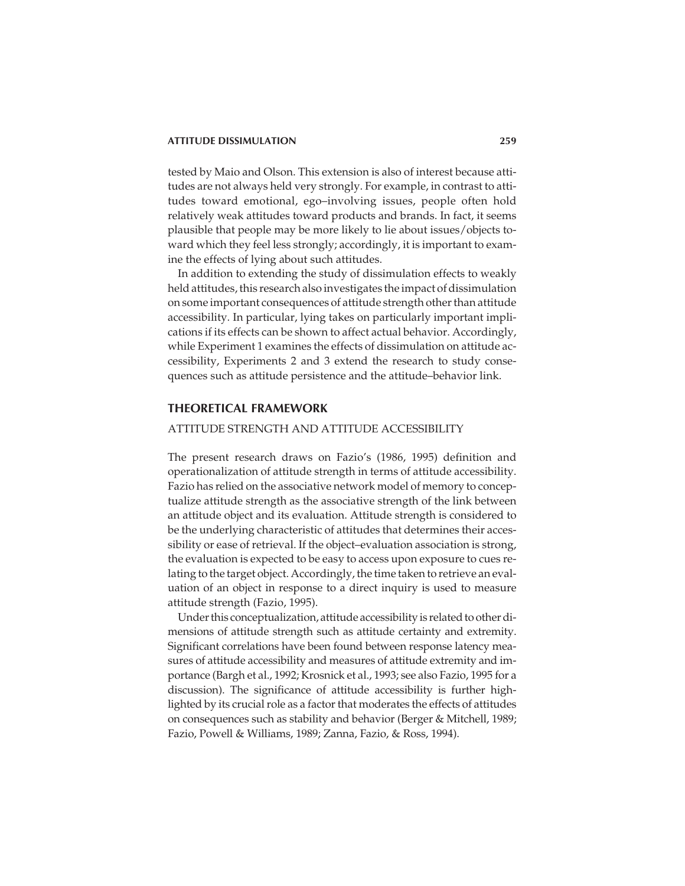tested by Maio and Olson. This extension is also of interest because attitudes are not always held very strongly. For example, in contrast to attitudes toward emotional, ego–involving issues, people often hold relatively weak attitudes toward products and brands. In fact, it seems plausible that people may be more likely to lie about issues/objects toward which they feel less strongly; accordingly, it is important to examine the effects of lying about such attitudes.

In addition to extending the study of dissimulation effects to weakly held attitudes, this research also investigates the impact of dissimulation on some important consequences of attitude strength other than attitude accessibility. In particular, lying takes on particularly important implications if its effects can be shown to affect actual behavior. Accordingly, while Experiment 1 examines the effects of dissimulation on attitude accessibility, Experiments 2 and 3 extend the research to study consequences such as attitude persistence and the attitude–behavior link.

# **THEORETICAL FRAMEWORK**

# ATTITUDE STRENGTH AND ATTITUDE ACCESSIBILITY

The present research draws on Fazio's (1986, 1995) definition and operationalization of attitude strength in terms of attitude accessibility. Fazio has relied on the associative network model of memory to conceptualize attitude strength as the associative strength of the link between an attitude object and its evaluation. Attitude strength is considered to be the underlying characteristic of attitudes that determines their accessibility or ease of retrieval. If the object–evaluation association is strong, the evaluation is expected to be easy to access upon exposure to cues relating to the target object. Accordingly, the time taken to retrieve an evaluation of an object in response to a direct inquiry is used to measure attitude strength (Fazio, 1995).

Under this conceptualization, attitude accessibility is related to other dimensions of attitude strength such as attitude certainty and extremity. Significant correlations have been found between response latency measures of attitude accessibility and measures of attitude extremity and importance (Bargh et al., 1992; Krosnick et al., 1993; see also Fazio, 1995 for a discussion). The significance of attitude accessibility is further highlighted by its crucial role as a factor that moderates the effects of attitudes on consequences such as stability and behavior (Berger & Mitchell, 1989; Fazio, Powell & Williams, 1989; Zanna, Fazio, & Ross, 1994).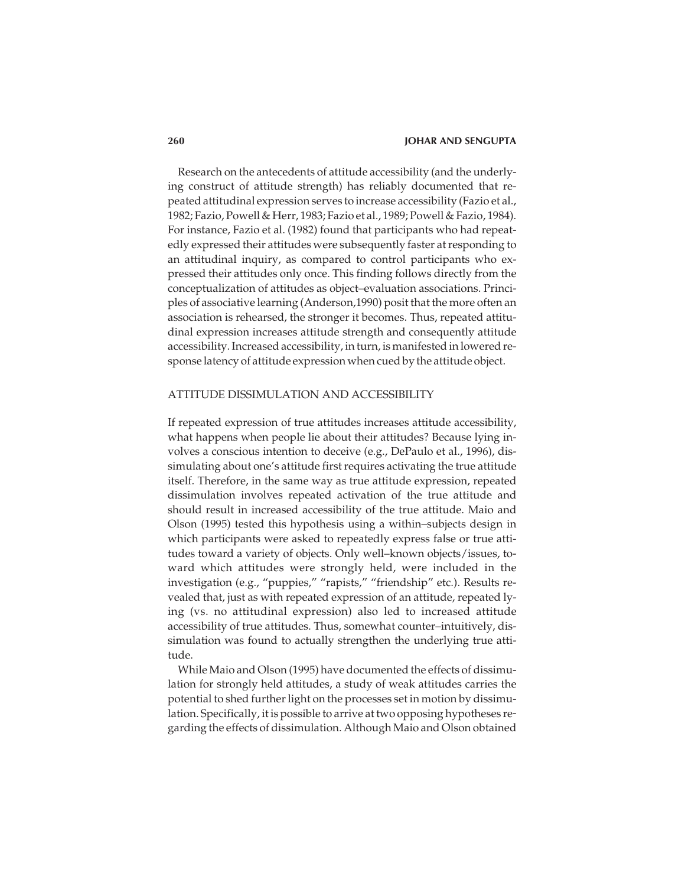Research on the antecedents of attitude accessibility (and the underlying construct of attitude strength) has reliably documented that repeated attitudinal expression serves to increase accessibility (Fazio et al., 1982; Fazio, Powell & Herr, 1983; Fazio et al., 1989; Powell & Fazio, 1984). For instance, Fazio et al. (1982) found that participants who had repeatedly expressed their attitudes were subsequently faster at responding to an attitudinal inquiry, as compared to control participants who expressed their attitudes only once. This finding follows directly from the conceptualization of attitudes as object–evaluation associations. Principles of associative learning (Anderson,1990) posit that the more often an association is rehearsed, the stronger it becomes. Thus, repeated attitudinal expression increases attitude strength and consequently attitude accessibility. Increased accessibility, in turn, is manifested in lowered response latency of attitude expression when cued by the attitude object.

# ATTITUDE DISSIMULATION AND ACCESSIBILITY

If repeated expression of true attitudes increases attitude accessibility, what happens when people lie about their attitudes? Because lying involves a conscious intention to deceive (e.g., DePaulo et al., 1996), dissimulating about one's attitude first requires activating the true attitude itself. Therefore, in the same way as true attitude expression, repeated dissimulation involves repeated activation of the true attitude and should result in increased accessibility of the true attitude. Maio and Olson (1995) tested this hypothesis using a within–subjects design in which participants were asked to repeatedly express false or true attitudes toward a variety of objects. Only well–known objects/issues, toward which attitudes were strongly held, were included in the investigation (e.g., "puppies," "rapists," "friendship" etc.). Results revealed that, just as with repeated expression of an attitude, repeated lying (vs. no attitudinal expression) also led to increased attitude accessibility of true attitudes. Thus, somewhat counter–intuitively, dissimulation was found to actually strengthen the underlying true attitude.

While Maio and Olson (1995) have documented the effects of dissimulation for strongly held attitudes, a study of weak attitudes carries the potential to shed further light on the processes set in motion by dissimulation. Specifically, it is possible to arrive at two opposing hypotheses regarding the effects of dissimulation. Although Maio and Olson obtained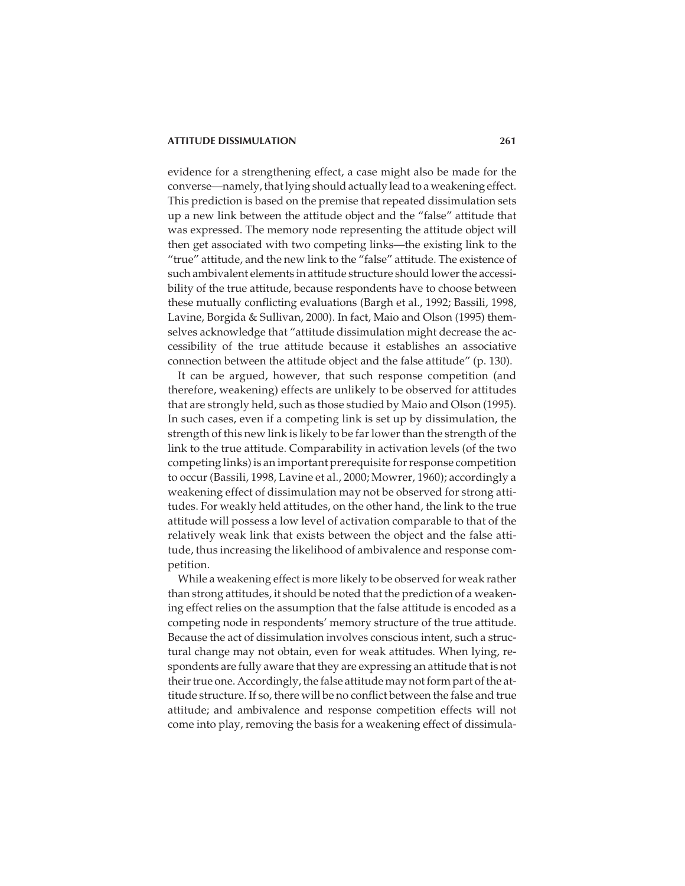evidence for a strengthening effect, a case might also be made for the converse—namely, that lying should actually lead to a weakening effect. This prediction is based on the premise that repeated dissimulation sets up a new link between the attitude object and the "false" attitude that was expressed. The memory node representing the attitude object will then get associated with two competing links—the existing link to the "true" attitude, and the new link to the "false" attitude. The existence of such ambivalent elements in attitude structure should lower the accessibility of the true attitude, because respondents have to choose between these mutually conflicting evaluations (Bargh et al., 1992; Bassili, 1998, Lavine, Borgida & Sullivan, 2000). In fact, Maio and Olson (1995) themselves acknowledge that "attitude dissimulation might decrease the accessibility of the true attitude because it establishes an associative connection between the attitude object and the false attitude" (p. 130).

It can be argued, however, that such response competition (and therefore, weakening) effects are unlikely to be observed for attitudes that are strongly held, such as those studied by Maio and Olson (1995). In such cases, even if a competing link is set up by dissimulation, the strength of this new link is likely to be far lower than the strength of the link to the true attitude. Comparability in activation levels (of the two competing links) is an important prerequisite for response competition to occur (Bassili, 1998, Lavine et al., 2000; Mowrer, 1960); accordingly a weakening effect of dissimulation may not be observed for strong attitudes. For weakly held attitudes, on the other hand, the link to the true attitude will possess a low level of activation comparable to that of the relatively weak link that exists between the object and the false attitude, thus increasing the likelihood of ambivalence and response competition.

While a weakening effect is more likely to be observed for weak rather than strong attitudes, it should be noted that the prediction of a weakening effect relies on the assumption that the false attitude is encoded as a competing node in respondents' memory structure of the true attitude. Because the act of dissimulation involves conscious intent, such a structural change may not obtain, even for weak attitudes. When lying, respondents are fully aware that they are expressing an attitude that is not their true one. Accordingly, the false attitude may not form part of the attitude structure. If so, there will be no conflict between the false and true attitude; and ambivalence and response competition effects will not come into play, removing the basis for a weakening effect of dissimula-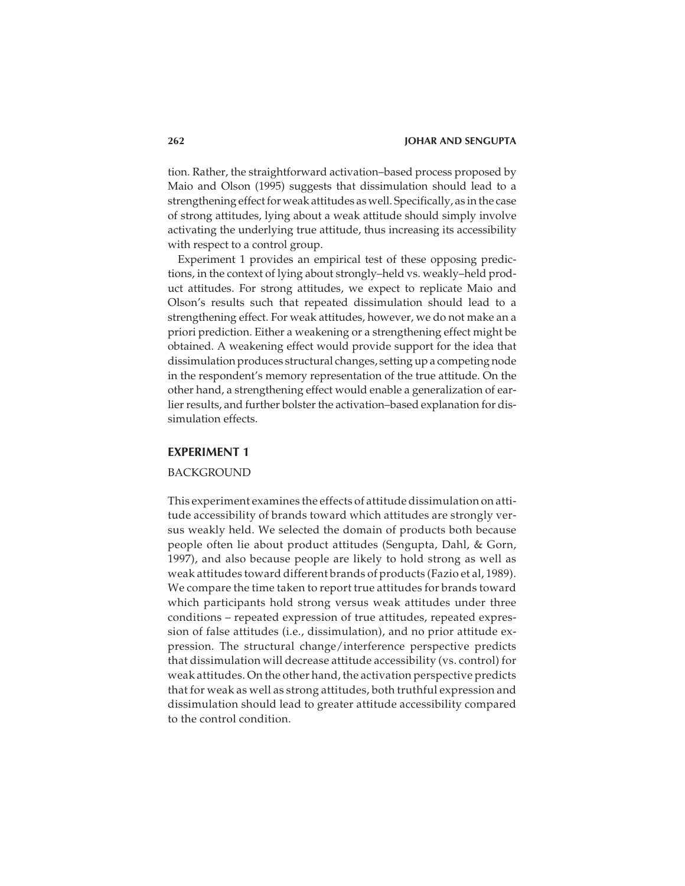tion. Rather, the straightforward activation–based process proposed by Maio and Olson (1995) suggests that dissimulation should lead to a strengthening effect for weak attitudes as well. Specifically, as in the case of strong attitudes, lying about a weak attitude should simply involve activating the underlying true attitude, thus increasing its accessibility with respect to a control group.

Experiment 1 provides an empirical test of these opposing predictions, in the context of lying about strongly–held vs. weakly–held product attitudes. For strong attitudes, we expect to replicate Maio and Olson's results such that repeated dissimulation should lead to a strengthening effect. For weak attitudes, however, we do not make an a priori prediction. Either a weakening or a strengthening effect might be obtained. A weakening effect would provide support for the idea that dissimulation produces structural changes, setting up a competing node in the respondent's memory representation of the true attitude. On the other hand, a strengthening effect would enable a generalization of earlier results, and further bolster the activation–based explanation for dissimulation effects.

# **EXPERIMENT 1**

# BACKGROUND

This experiment examines the effects of attitude dissimulation on attitude accessibility of brands toward which attitudes are strongly versus weakly held. We selected the domain of products both because people often lie about product attitudes (Sengupta, Dahl, & Gorn, 1997), and also because people are likely to hold strong as well as weak attitudes toward different brands of products (Fazio et al, 1989). We compare the time taken to report true attitudes for brands toward which participants hold strong versus weak attitudes under three conditions – repeated expression of true attitudes, repeated expression of false attitudes (i.e., dissimulation), and no prior attitude expression. The structural change/interference perspective predicts that dissimulation will decrease attitude accessibility (vs. control) for weak attitudes. On the other hand, the activation perspective predicts that for weak as well as strong attitudes, both truthful expression and dissimulation should lead to greater attitude accessibility compared to the control condition.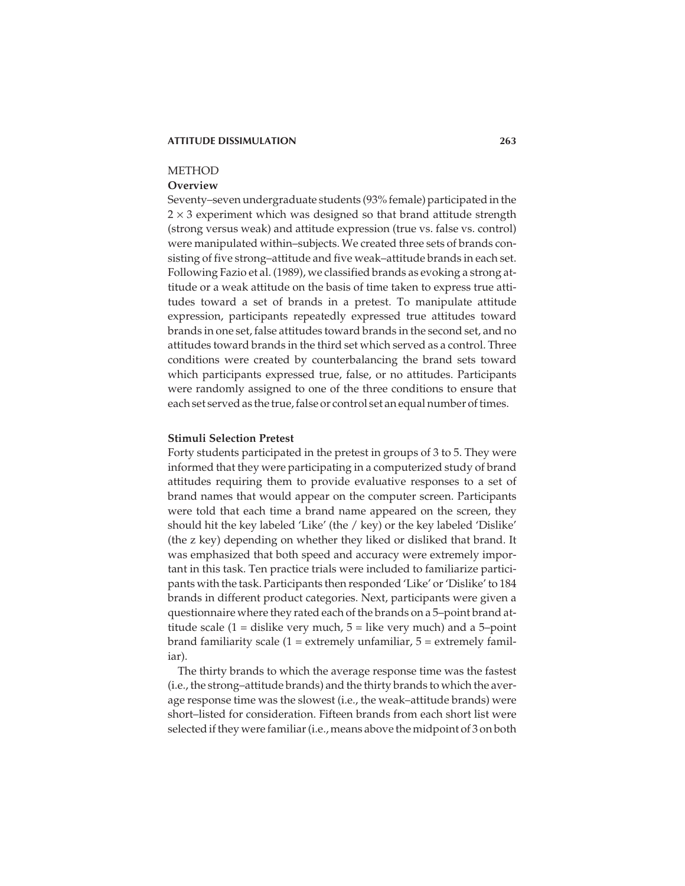#### METHOD

# **Overview**

Seventy–seven undergraduate students (93% female) participated in the  $2 \times 3$  experiment which was designed so that brand attitude strength (strong versus weak) and attitude expression (true vs. false vs. control) were manipulated within–subjects. We created three sets of brands consisting of five strong–attitude and five weak–attitude brands in each set. Following Fazio et al. (1989), we classified brands as evoking a strong attitude or a weak attitude on the basis of time taken to express true attitudes toward a set of brands in a pretest. To manipulate attitude expression, participants repeatedly expressed true attitudes toward brands in one set, false attitudes toward brands in the second set, and no attitudes toward brands in the third set which served as a control. Three conditions were created by counterbalancing the brand sets toward which participants expressed true, false, or no attitudes. Participants were randomly assigned to one of the three conditions to ensure that each set served as the true, false or control set an equal number of times.

# **Stimuli Selection Pretest**

Forty students participated in the pretest in groups of 3 to 5. They were informed that they were participating in a computerized study of brand attitudes requiring them to provide evaluative responses to a set of brand names that would appear on the computer screen. Participants were told that each time a brand name appeared on the screen, they should hit the key labeled 'Like' (the / key) or the key labeled 'Dislike' (the z key) depending on whether they liked or disliked that brand. It was emphasized that both speed and accuracy were extremely important in this task. Ten practice trials were included to familiarize participants with the task. Participants then responded 'Like' or 'Dislike' to 184 brands in different product categories. Next, participants were given a questionnaire where they rated each of the brands on a 5–point brand attitude scale  $(1 -$  dislike very much,  $5 -$  like very much) and a 5-point brand familiarity scale  $(1 =$  extremely unfamiliar,  $5 =$  extremely familiar).

The thirty brands to which the average response time was the fastest (i.e., the strong–attitude brands) and the thirty brands to which the average response time was the slowest (i.e., the weak–attitude brands) were short–listed for consideration. Fifteen brands from each short list were selected if they were familiar (i.e., means above the midpoint of 3 on both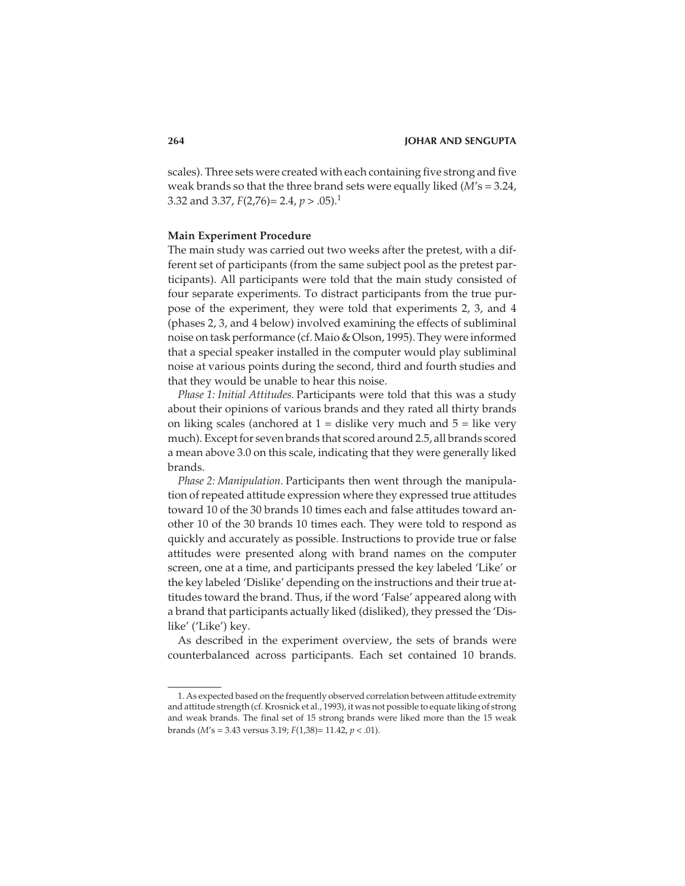scales). Three sets were created with each containing five strong and five weak brands so that the three brand sets were equally liked (*M*'s = 3.24, 3.32 and 3.37, *F*(2,76)= 2.4, *p* > .05).<sup>1</sup>

#### **Main Experiment Procedure**

The main study was carried out two weeks after the pretest, with a different set of participants (from the same subject pool as the pretest participants). All participants were told that the main study consisted of four separate experiments. To distract participants from the true purpose of the experiment, they were told that experiments 2, 3, and 4 (phases 2, 3, and 4 below) involved examining the effects of subliminal noise on task performance (cf. Maio & Olson, 1995). They were informed that a special speaker installed in the computer would play subliminal noise at various points during the second, third and fourth studies and that they would be unable to hear this noise.

*Phase 1: Initial Attitudes.* Participants were told that this was a study about their opinions of various brands and they rated all thirty brands on liking scales (anchored at  $1 =$  dislike very much and  $5 =$  like very much). Except for seven brands that scored around 2.5, all brands scored a mean above 3.0 on this scale, indicating that they were generally liked brands.

*Phase 2: Manipulation.* Participants then went through the manipulation of repeated attitude expression where they expressed true attitudes toward 10 of the 30 brands 10 times each and false attitudes toward another 10 of the 30 brands 10 times each. They were told to respond as quickly and accurately as possible. Instructions to provide true or false attitudes were presented along with brand names on the computer screen, one at a time, and participants pressed the key labeled 'Like' or the key labeled 'Dislike' depending on the instructions and their true attitudes toward the brand. Thus, if the word 'False' appeared along with a brand that participants actually liked (disliked), they pressed the 'Dislike' ('Like') key.

As described in the experiment overview, the sets of brands were counterbalanced across participants. Each set contained 10 brands.

<sup>1.</sup> As expected based on the frequently observed correlation between attitude extremity and attitude strength (cf. Krosnick et al., 1993), it was not possible to equate liking of strong and weak brands. The final set of 15 strong brands were liked more than the 15 weak brands (*M*'s = 3.43 versus 3.19; *F*(1,38)= 11.42, *p* < .01).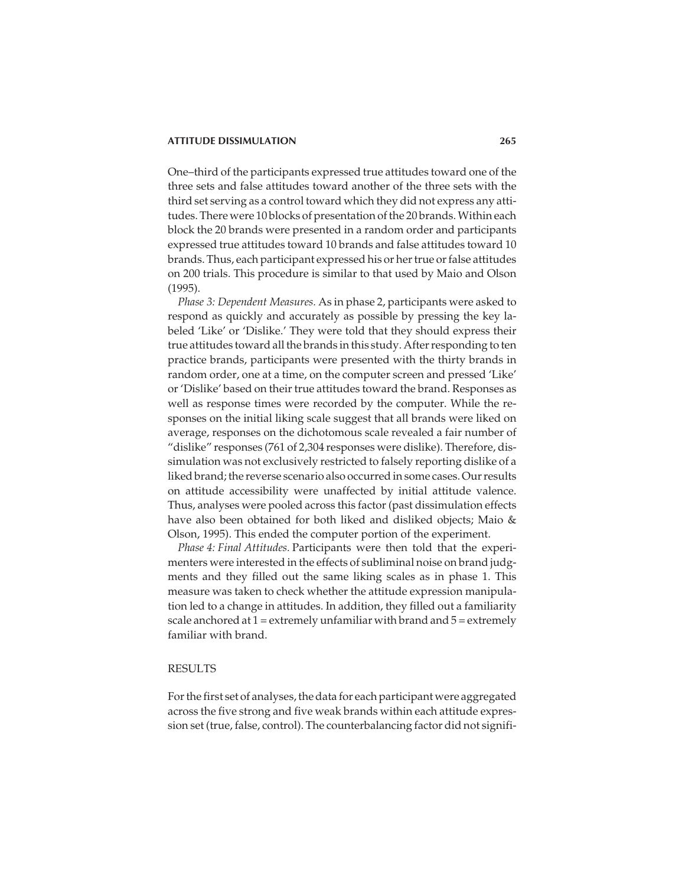One–third of the participants expressed true attitudes toward one of the three sets and false attitudes toward another of the three sets with the third set serving as a control toward which they did not express any attitudes. There were 10 blocks of presentation of the 20 brands. Within each block the 20 brands were presented in a random order and participants expressed true attitudes toward 10 brands and false attitudes toward 10 brands. Thus, each participant expressed his or her true or false attitudes on 200 trials. This procedure is similar to that used by Maio and Olson (1995).

*Phase 3: Dependent Measures.* As in phase 2, participants were asked to respond as quickly and accurately as possible by pressing the key labeled 'Like' or 'Dislike.' They were told that they should express their true attitudes toward all the brands in this study. After responding to ten practice brands, participants were presented with the thirty brands in random order, one at a time, on the computer screen and pressed 'Like' or 'Dislike' based on their true attitudes toward the brand. Responses as well as response times were recorded by the computer. While the responses on the initial liking scale suggest that all brands were liked on average, responses on the dichotomous scale revealed a fair number of "dislike" responses (761 of 2,304 responses were dislike). Therefore, dissimulation was not exclusively restricted to falsely reporting dislike of a liked brand; the reverse scenario also occurred in some cases. Our results on attitude accessibility were unaffected by initial attitude valence. Thus, analyses were pooled across this factor (past dissimulation effects have also been obtained for both liked and disliked objects; Maio & Olson, 1995). This ended the computer portion of the experiment.

*Phase 4: Final Attitudes.* Participants were then told that the experimenters were interested in the effects of subliminal noise on brand judgments and they filled out the same liking scales as in phase 1. This measure was taken to check whether the attitude expression manipulation led to a change in attitudes. In addition, they filled out a familiarity scale anchored at  $1 =$  extremely unfamiliar with brand and  $5 =$  extremely familiar with brand.

#### RESULTS

For the first set of analyses, the data for each participant were aggregated across the five strong and five weak brands within each attitude expression set (true, false, control). The counterbalancing factor did not signifi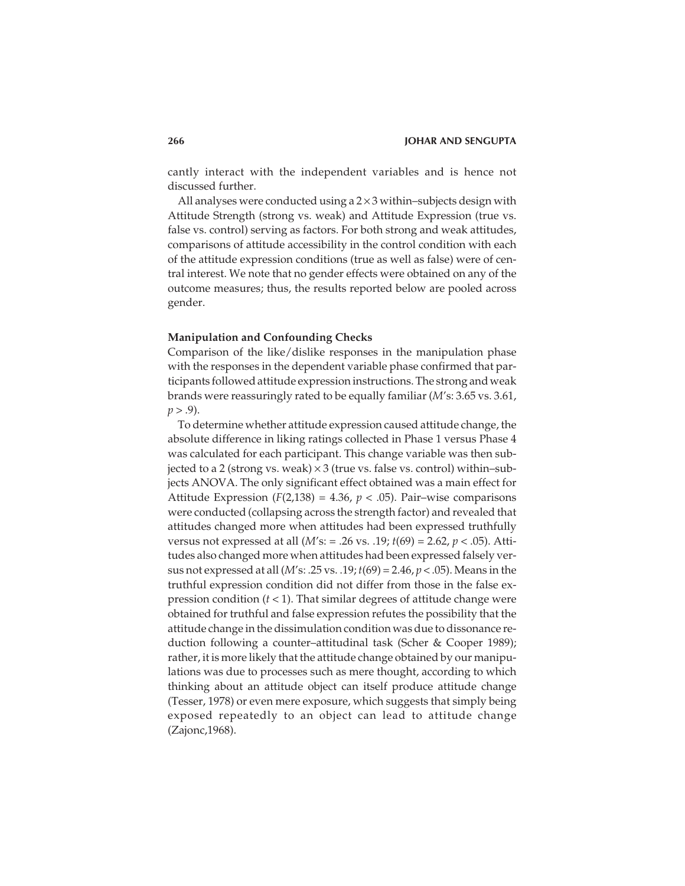cantly interact with the independent variables and is hence not discussed further.

All analyses were conducted using a  $2 \times 3$  within–subjects design with Attitude Strength (strong vs. weak) and Attitude Expression (true vs. false vs. control) serving as factors. For both strong and weak attitudes, comparisons of attitude accessibility in the control condition with each of the attitude expression conditions (true as well as false) were of central interest. We note that no gender effects were obtained on any of the outcome measures; thus, the results reported below are pooled across gender.

# **Manipulation and Confounding Checks**

Comparison of the like/dislike responses in the manipulation phase with the responses in the dependent variable phase confirmed that participants followed attitude expression instructions. The strong and weak brands were reassuringly rated to be equally familiar (*M*'s: 3.65 vs. 3.61,  $p > .9$ ).

To determine whether attitude expression caused attitude change, the absolute difference in liking ratings collected in Phase 1 versus Phase 4 was calculated for each participant. This change variable was then subjected to a 2 (strong vs. weak)  $\times$  3 (true vs. false vs. control) within–subjects ANOVA. The only significant effect obtained was a main effect for Attitude Expression  $(F(2,138) = 4.36, p < .05)$ . Pair–wise comparisons were conducted (collapsing across the strength factor) and revealed that attitudes changed more when attitudes had been expressed truthfully versus not expressed at all (*M*'s: = .26 vs. .19; *t*(69) = 2.62, *p* < .05). Attitudes also changed more when attitudes had been expressed falsely versus not expressed at all (*M*'s: .25 vs. .19; *t*(69) = 2.46, *p* < .05). Means in the truthful expression condition did not differ from those in the false expression condition (*t* < 1). That similar degrees of attitude change were obtained for truthful and false expression refutes the possibility that the attitude change in the dissimulation condition was due to dissonance reduction following a counter–attitudinal task (Scher & Cooper 1989); rather, it is more likely that the attitude change obtained by our manipulations was due to processes such as mere thought, according to which thinking about an attitude object can itself produce attitude change (Tesser, 1978) or even mere exposure, which suggests that simply being exposed repeatedly to an object can lead to attitude change (Zajonc,1968).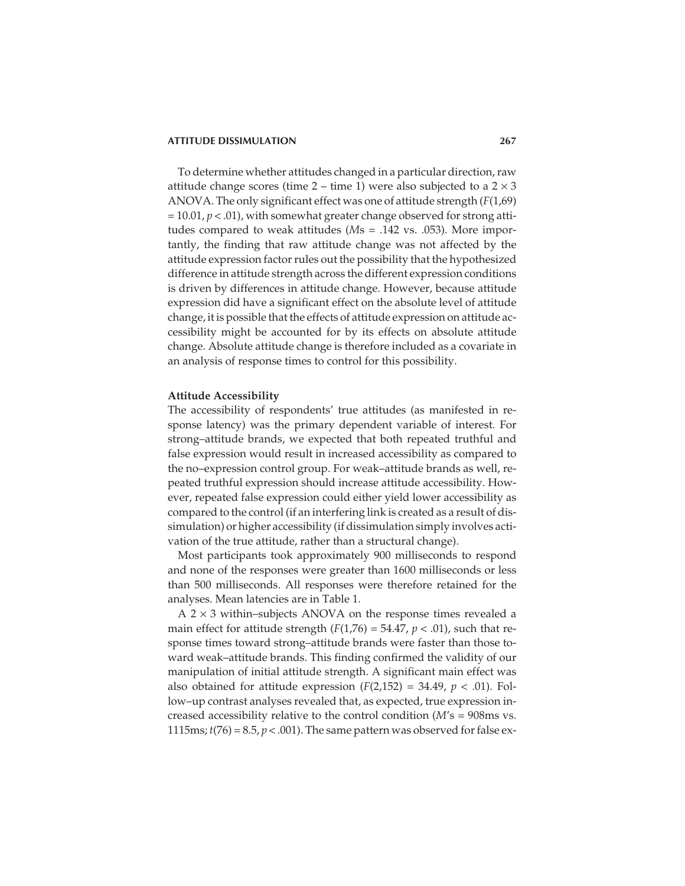To determine whether attitudes changed in a particular direction, raw attitude change scores (time 2 – time 1) were also subjected to a  $2 \times 3$ ANOVA. The only significant effect was one of attitude strength (*F*(1,69) = 10.01, *p* < .01), with somewhat greater change observed for strong attitudes compared to weak attitudes (*M*s = .142 vs. .053). More importantly, the finding that raw attitude change was not affected by the attitude expression factor rules out the possibility that the hypothesized difference in attitude strength across the different expression conditions is driven by differences in attitude change. However, because attitude expression did have a significant effect on the absolute level of attitude change, it is possible that the effects of attitude expression on attitude accessibility might be accounted for by its effects on absolute attitude change. Absolute attitude change is therefore included as a covariate in an analysis of response times to control for this possibility.

### **Attitude Accessibility**

The accessibility of respondents' true attitudes (as manifested in response latency) was the primary dependent variable of interest. For strong–attitude brands, we expected that both repeated truthful and false expression would result in increased accessibility as compared to the no–expression control group. For weak–attitude brands as well, repeated truthful expression should increase attitude accessibility. However, repeated false expression could either yield lower accessibility as compared to the control (if an interfering link is created as a result of dissimulation) or higher accessibility (if dissimulation simply involves activation of the true attitude, rather than a structural change).

Most participants took approximately 900 milliseconds to respond and none of the responses were greater than 1600 milliseconds or less than 500 milliseconds. All responses were therefore retained for the analyses. Mean latencies are in Table 1.

 $A$  2  $\times$  3 within–subjects ANOVA on the response times revealed a main effect for attitude strength  $(F(1,76) = 54.47, p < .01)$ , such that response times toward strong–attitude brands were faster than those toward weak–attitude brands. This finding confirmed the validity of our manipulation of initial attitude strength. A significant main effect was also obtained for attitude expression  $(F(2,152) = 34.49, p < .01)$ . Follow–up contrast analyses revealed that, as expected, true expression increased accessibility relative to the control condition (*M*'s = 908ms vs. 1115ms;  $t(76) = 8.5$ ,  $p < .001$ ). The same pattern was observed for false ex-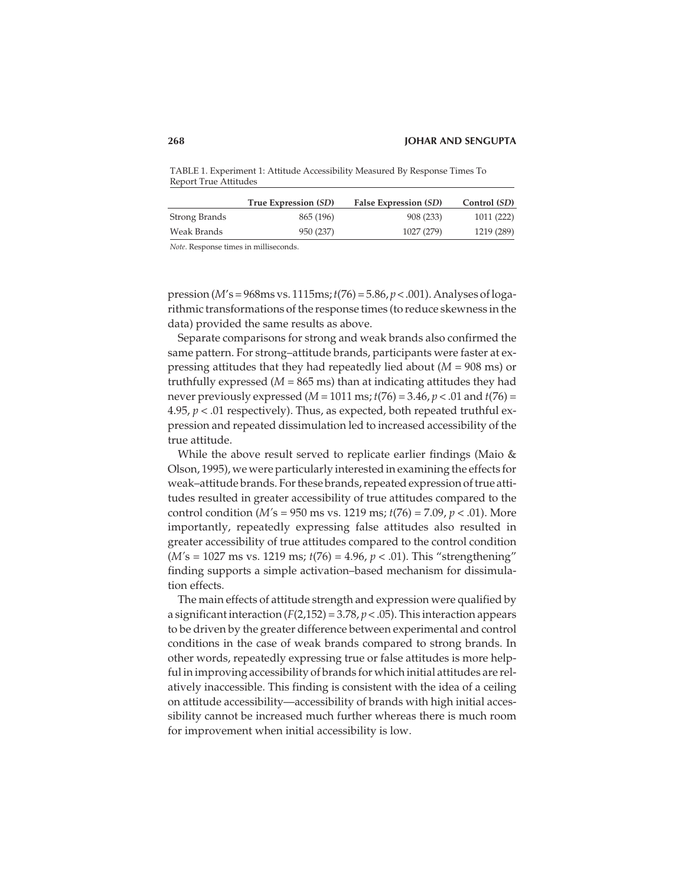TABLE 1. Experiment 1: Attitude Accessibility Measured By Response Times To Report True Attitudes

| <b>False Expression (SD)</b> | Control (SD) |
|------------------------------|--------------|
| 908 (233)                    | 1011 (222)   |
| 1027 (279)                   | 1219 (289)   |
|                              |              |

*Note*. Response times in milliseconds.

pression (*M*'s = 968ms vs. 1115ms;*t*(76) = 5.86, *p* < .001). Analyses of logarithmic transformations of the response times (to reduce skewness in the data) provided the same results as above.

Separate comparisons for strong and weak brands also confirmed the same pattern. For strong–attitude brands, participants were faster at expressing attitudes that they had repeatedly lied about (*M* = 908 ms) or truthfully expressed  $(M = 865 \text{ ms})$  than at indicating attitudes they had never previously expressed (*M* = 1011 ms; *t*(76) = 3.46, *p* < .01 and *t*(76) = 4.95, *p* < .01 respectively). Thus, as expected, both repeated truthful expression and repeated dissimulation led to increased accessibility of the true attitude.

While the above result served to replicate earlier findings (Maio & Olson, 1995), we were particularly interested in examining the effects for weak–attitude brands. For these brands, repeated expression of true attitudes resulted in greater accessibility of true attitudes compared to the control condition (*M'*s = 950 ms vs. 1219 ms; *t*(76) = 7.09, *p* < .01). More importantly, repeatedly expressing false attitudes also resulted in greater accessibility of true attitudes compared to the control condition (*M'*s = 1027 ms vs. 1219 ms; *t*(76) = 4.96, *p* < .01). This "strengthening" finding supports a simple activation–based mechanism for dissimulation effects.

The main effects of attitude strength and expression were qualified by a significant interaction (*F*(2,152) = 3.78, *p* < .05). This interaction appears to be driven by the greater difference between experimental and control conditions in the case of weak brands compared to strong brands. In other words, repeatedly expressing true or false attitudes is more helpful in improving accessibility of brands for which initial attitudes are relatively inaccessible. This finding is consistent with the idea of a ceiling on attitude accessibility—accessibility of brands with high initial accessibility cannot be increased much further whereas there is much room for improvement when initial accessibility is low.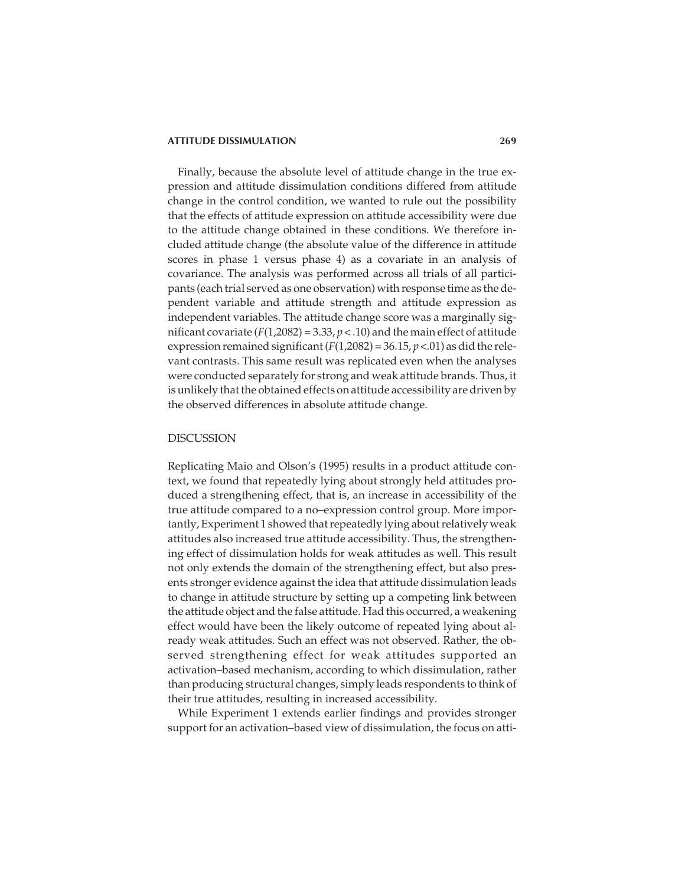Finally, because the absolute level of attitude change in the true expression and attitude dissimulation conditions differed from attitude change in the control condition, we wanted to rule out the possibility that the effects of attitude expression on attitude accessibility were due to the attitude change obtained in these conditions. We therefore included attitude change (the absolute value of the difference in attitude scores in phase 1 versus phase 4) as a covariate in an analysis of covariance. The analysis was performed across all trials of all participants (each trial served as one observation) with response time as the dependent variable and attitude strength and attitude expression as independent variables. The attitude change score was a marginally significant covariate  $(F(1,2082) = 3.33, p < .10)$  and the main effect of attitude expression remained significant  $(F(1,2082) = 36.15, p < 0.01)$  as did the relevant contrasts. This same result was replicated even when the analyses were conducted separately for strong and weak attitude brands. Thus, it is unlikely that the obtained effects on attitude accessibility are driven by the observed differences in absolute attitude change.

# DISCUSSION

Replicating Maio and Olson's (1995) results in a product attitude context, we found that repeatedly lying about strongly held attitudes produced a strengthening effect, that is, an increase in accessibility of the true attitude compared to a no–expression control group. More importantly, Experiment 1 showed that repeatedly lying about relatively weak attitudes also increased true attitude accessibility. Thus, the strengthening effect of dissimulation holds for weak attitudes as well. This result not only extends the domain of the strengthening effect, but also presents stronger evidence against the idea that attitude dissimulation leads to change in attitude structure by setting up a competing link between the attitude object and the false attitude. Had this occurred, a weakening effect would have been the likely outcome of repeated lying about already weak attitudes. Such an effect was not observed. Rather, the observed strengthening effect for weak attitudes supported an activation–based mechanism, according to which dissimulation, rather than producing structural changes, simply leads respondents to think of their true attitudes, resulting in increased accessibility.

While Experiment 1 extends earlier findings and provides stronger support for an activation–based view of dissimulation, the focus on atti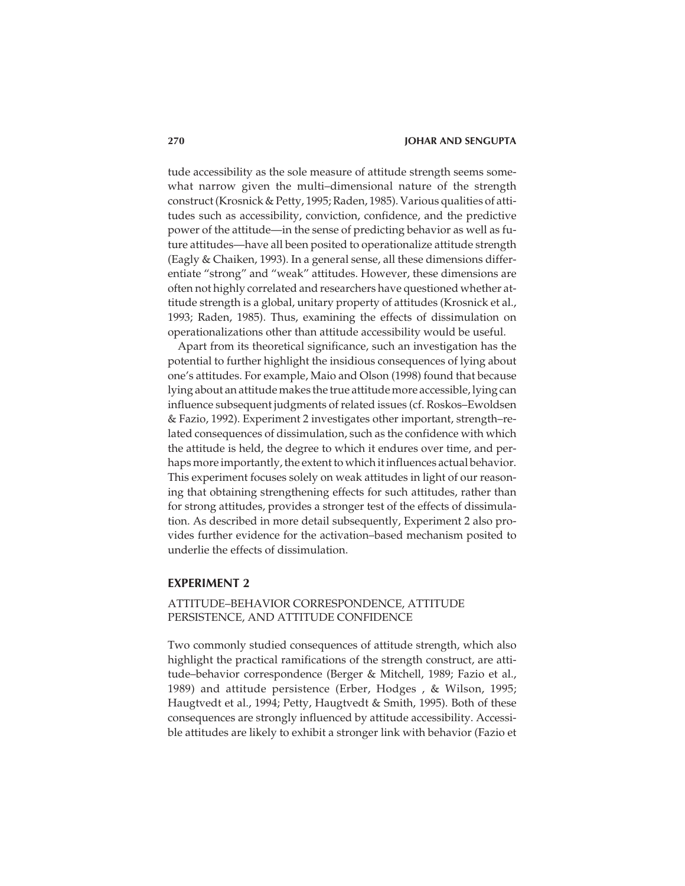tude accessibility as the sole measure of attitude strength seems somewhat narrow given the multi–dimensional nature of the strength construct (Krosnick & Petty, 1995; Raden, 1985). Various qualities of attitudes such as accessibility, conviction, confidence, and the predictive power of the attitude—in the sense of predicting behavior as well as future attitudes—have all been posited to operationalize attitude strength (Eagly & Chaiken, 1993). In a general sense, all these dimensions differentiate "strong" and "weak" attitudes. However, these dimensions are often not highly correlated and researchers have questioned whether attitude strength is a global, unitary property of attitudes (Krosnick et al., 1993; Raden, 1985). Thus, examining the effects of dissimulation on operationalizations other than attitude accessibility would be useful.

Apart from its theoretical significance, such an investigation has the potential to further highlight the insidious consequences of lying about one's attitudes. For example, Maio and Olson (1998) found that because lying about an attitude makes the true attitude more accessible, lying can influence subsequent judgments of related issues (cf. Roskos–Ewoldsen & Fazio, 1992). Experiment 2 investigates other important, strength–related consequences of dissimulation, such as the confidence with which the attitude is held, the degree to which it endures over time, and perhaps more importantly, the extent to which it influences actual behavior. This experiment focuses solely on weak attitudes in light of our reasoning that obtaining strengthening effects for such attitudes, rather than for strong attitudes, provides a stronger test of the effects of dissimulation. As described in more detail subsequently, Experiment 2 also provides further evidence for the activation–based mechanism posited to underlie the effects of dissimulation.

# **EXPERIMENT 2**

# ATTITUDE–BEHAVIOR CORRESPONDENCE, ATTITUDE PERSISTENCE, AND ATTITUDE CONFIDENCE

Two commonly studied consequences of attitude strength, which also highlight the practical ramifications of the strength construct, are attitude–behavior correspondence (Berger & Mitchell, 1989; Fazio et al., 1989) and attitude persistence (Erber, Hodges , & Wilson, 1995; Haugtvedt et al., 1994; Petty, Haugtvedt & Smith, 1995). Both of these consequences are strongly influenced by attitude accessibility. Accessible attitudes are likely to exhibit a stronger link with behavior (Fazio et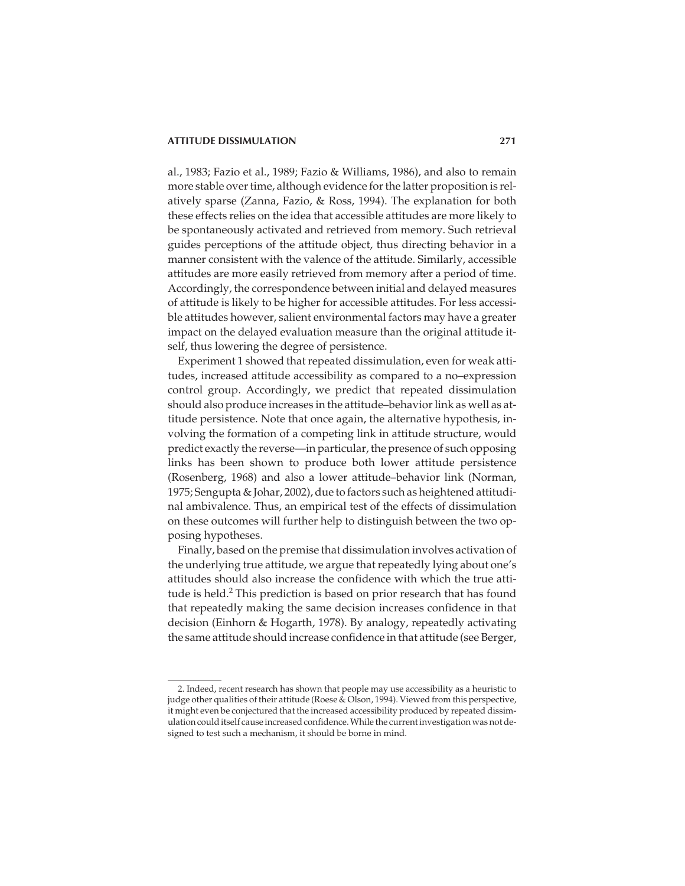al., 1983; Fazio et al., 1989; Fazio & Williams, 1986), and also to remain more stable over time, although evidence for the latter proposition is relatively sparse (Zanna, Fazio, & Ross, 1994). The explanation for both these effects relies on the idea that accessible attitudes are more likely to be spontaneously activated and retrieved from memory. Such retrieval guides perceptions of the attitude object, thus directing behavior in a manner consistent with the valence of the attitude. Similarly, accessible attitudes are more easily retrieved from memory after a period of time. Accordingly, the correspondence between initial and delayed measures of attitude is likely to be higher for accessible attitudes. For less accessible attitudes however, salient environmental factors may have a greater impact on the delayed evaluation measure than the original attitude itself, thus lowering the degree of persistence.

Experiment 1 showed that repeated dissimulation, even for weak attitudes, increased attitude accessibility as compared to a no–expression control group. Accordingly, we predict that repeated dissimulation should also produce increases in the attitude–behavior link as well as attitude persistence. Note that once again, the alternative hypothesis, involving the formation of a competing link in attitude structure, would predict exactly the reverse—in particular, the presence of such opposing links has been shown to produce both lower attitude persistence (Rosenberg, 1968) and also a lower attitude–behavior link (Norman, 1975; Sengupta & Johar, 2002), due to factors such as heightened attitudinal ambivalence. Thus, an empirical test of the effects of dissimulation on these outcomes will further help to distinguish between the two opposing hypotheses.

Finally, based on the premise that dissimulation involves activation of the underlying true attitude, we argue that repeatedly lying about one's attitudes should also increase the confidence with which the true attitude is held.<sup>2</sup> This prediction is based on prior research that has found that repeatedly making the same decision increases confidence in that decision (Einhorn & Hogarth, 1978). By analogy, repeatedly activating the same attitude should increase confidence in that attitude (see Berger,

<sup>2.</sup> Indeed, recent research has shown that people may use accessibility as a heuristic to judge other qualities of their attitude (Roese & Olson, 1994). Viewed from this perspective, it might even be conjectured that the increased accessibility produced by repeated dissimulation could itself cause increased confidence. While the current investigation was not designed to test such a mechanism, it should be borne in mind.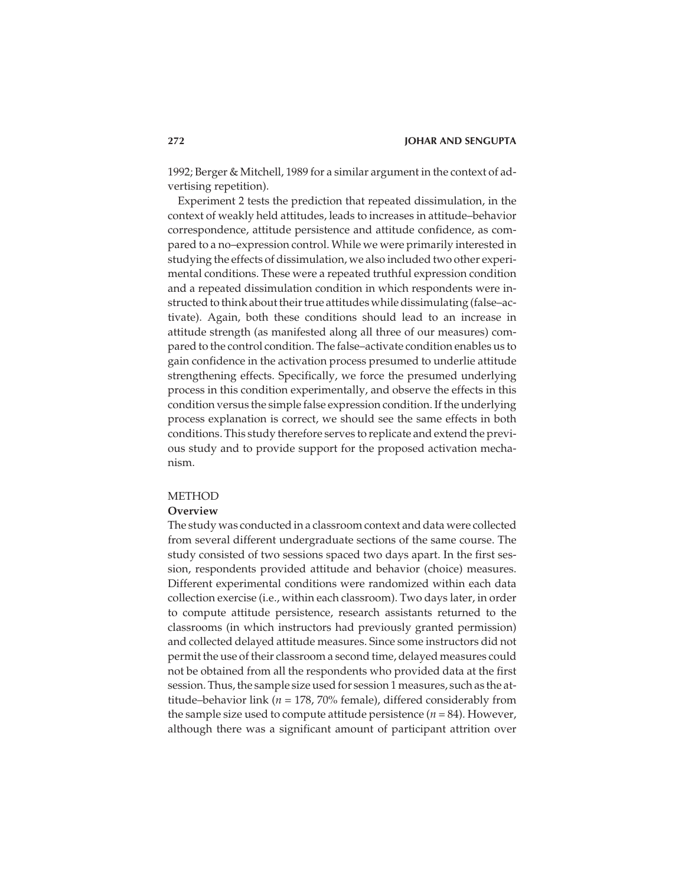1992; Berger & Mitchell, 1989 for a similar argument in the context of advertising repetition).

Experiment 2 tests the prediction that repeated dissimulation, in the context of weakly held attitudes, leads to increases in attitude–behavior correspondence, attitude persistence and attitude confidence, as compared to a no–expression control. While we were primarily interested in studying the effects of dissimulation, we also included two other experimental conditions. These were a repeated truthful expression condition and a repeated dissimulation condition in which respondents were instructed to think about their true attitudes while dissimulating (false–activate). Again, both these conditions should lead to an increase in attitude strength (as manifested along all three of our measures) compared to the control condition. The false–activate condition enables us to gain confidence in the activation process presumed to underlie attitude strengthening effects. Specifically, we force the presumed underlying process in this condition experimentally, and observe the effects in this condition versus the simple false expression condition. If the underlying process explanation is correct, we should see the same effects in both conditions. This study therefore serves to replicate and extend the previous study and to provide support for the proposed activation mechanism.

#### METHOD

# **Overview**

The study was conducted in a classroom context and data were collected from several different undergraduate sections of the same course. The study consisted of two sessions spaced two days apart. In the first session, respondents provided attitude and behavior (choice) measures. Different experimental conditions were randomized within each data collection exercise (i.e., within each classroom). Two days later, in order to compute attitude persistence, research assistants returned to the classrooms (in which instructors had previously granted permission) and collected delayed attitude measures. Since some instructors did not permit the use of their classroom a second time, delayed measures could not be obtained from all the respondents who provided data at the first session. Thus, the sample size used for session 1 measures, such as the attitude–behavior link (*n* = 178, 70% female), differed considerably from the sample size used to compute attitude persistence  $(n = 84)$ . However, although there was a significant amount of participant attrition over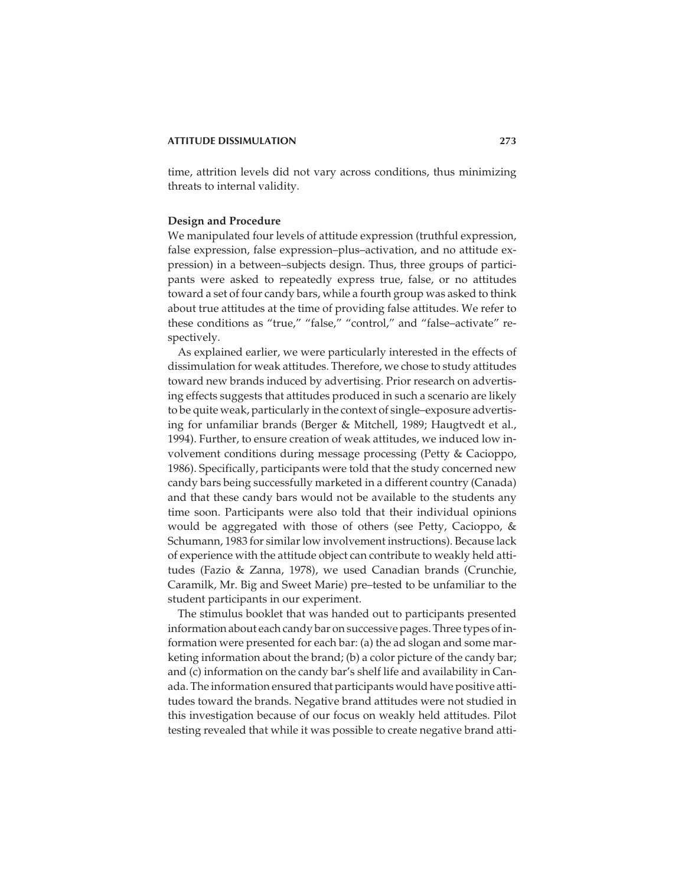time, attrition levels did not vary across conditions, thus minimizing threats to internal validity.

# **Design and Procedure**

We manipulated four levels of attitude expression (truthful expression, false expression, false expression–plus–activation, and no attitude expression) in a between–subjects design. Thus, three groups of participants were asked to repeatedly express true, false, or no attitudes toward a set of four candy bars, while a fourth group was asked to think about true attitudes at the time of providing false attitudes. We refer to these conditions as "true," "false," "control," and "false–activate" respectively.

As explained earlier, we were particularly interested in the effects of dissimulation for weak attitudes. Therefore, we chose to study attitudes toward new brands induced by advertising. Prior research on advertising effects suggests that attitudes produced in such a scenario are likely to be quite weak, particularly in the context of single–exposure advertising for unfamiliar brands (Berger & Mitchell, 1989; Haugtvedt et al., 1994). Further, to ensure creation of weak attitudes, we induced low involvement conditions during message processing (Petty & Cacioppo, 1986). Specifically, participants were told that the study concerned new candy bars being successfully marketed in a different country (Canada) and that these candy bars would not be available to the students any time soon. Participants were also told that their individual opinions would be aggregated with those of others (see Petty, Cacioppo, & Schumann, 1983 for similar low involvement instructions). Because lack of experience with the attitude object can contribute to weakly held attitudes (Fazio & Zanna, 1978), we used Canadian brands (Crunchie, Caramilk, Mr. Big and Sweet Marie) pre–tested to be unfamiliar to the student participants in our experiment.

The stimulus booklet that was handed out to participants presented information about each candy bar on successive pages. Three types of information were presented for each bar: (a) the ad slogan and some marketing information about the brand; (b) a color picture of the candy bar; and (c) information on the candy bar's shelf life and availability in Canada. The information ensured that participants would have positive attitudes toward the brands. Negative brand attitudes were not studied in this investigation because of our focus on weakly held attitudes. Pilot testing revealed that while it was possible to create negative brand atti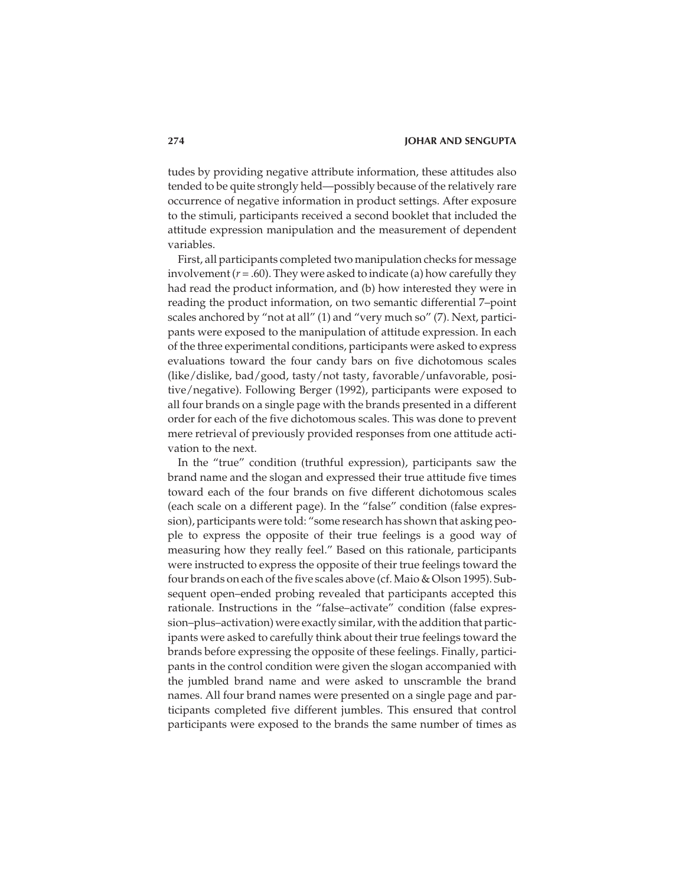tudes by providing negative attribute information, these attitudes also tended to be quite strongly held—possibly because of the relatively rare occurrence of negative information in product settings. After exposure to the stimuli, participants received a second booklet that included the attitude expression manipulation and the measurement of dependent variables.

First, all participants completed two manipulation checks for message involvement  $(r = .60)$ . They were asked to indicate (a) how carefully they had read the product information, and (b) how interested they were in reading the product information, on two semantic differential 7–point scales anchored by "not at all" (1) and "very much so" (7). Next, participants were exposed to the manipulation of attitude expression. In each of the three experimental conditions, participants were asked to express evaluations toward the four candy bars on five dichotomous scales (like/dislike, bad/good, tasty/not tasty, favorable/unfavorable, positive/negative). Following Berger (1992), participants were exposed to all four brands on a single page with the brands presented in a different order for each of the five dichotomous scales. This was done to prevent mere retrieval of previously provided responses from one attitude activation to the next.

In the "true" condition (truthful expression), participants saw the brand name and the slogan and expressed their true attitude five times toward each of the four brands on five different dichotomous scales (each scale on a different page). In the "false" condition (false expression), participants were told: "some research has shown that asking people to express the opposite of their true feelings is a good way of measuring how they really feel." Based on this rationale, participants were instructed to express the opposite of their true feelings toward the four brands on each of the five scales above (cf. Maio & Olson 1995). Subsequent open–ended probing revealed that participants accepted this rationale. Instructions in the "false–activate" condition (false expression–plus–activation) were exactly similar, with the addition that participants were asked to carefully think about their true feelings toward the brands before expressing the opposite of these feelings. Finally, participants in the control condition were given the slogan accompanied with the jumbled brand name and were asked to unscramble the brand names. All four brand names were presented on a single page and participants completed five different jumbles. This ensured that control participants were exposed to the brands the same number of times as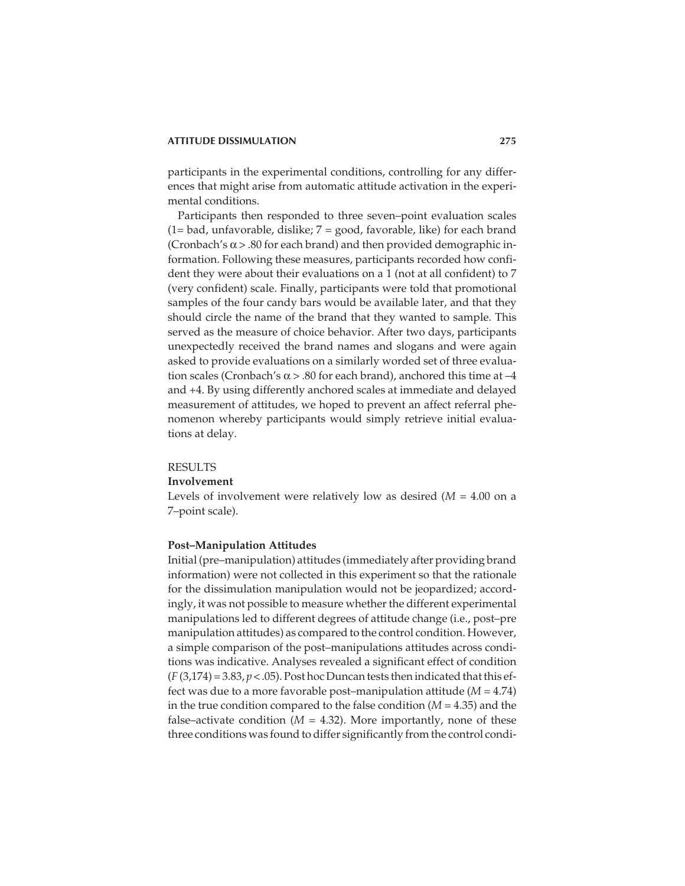participants in the experimental conditions, controlling for any differences that might arise from automatic attitude activation in the experimental conditions.

Participants then responded to three seven–point evaluation scales  $(1=bad, unfavorable, dislike; 7=good, favorable, like)$  for each brand (Cronbach's  $\alpha$  > .80 for each brand) and then provided demographic information. Following these measures, participants recorded how confident they were about their evaluations on a 1 (not at all confident) to 7 (very confident) scale. Finally, participants were told that promotional samples of the four candy bars would be available later, and that they should circle the name of the brand that they wanted to sample. This served as the measure of choice behavior. After two days, participants unexpectedly received the brand names and slogans and were again asked to provide evaluations on a similarly worded set of three evaluation scales (Cronbach's  $\alpha$  > .80 for each brand), anchored this time at -4 and +4. By using differently anchored scales at immediate and delayed measurement of attitudes, we hoped to prevent an affect referral phenomenon whereby participants would simply retrieve initial evaluations at delay.

# RESULTS

#### **Involvement**

Levels of involvement were relatively low as desired (*M* = 4.00 on a 7–point scale).

# **Post–Manipulation Attitudes**

Initial (pre–manipulation) attitudes (immediately after providing brand information) were not collected in this experiment so that the rationale for the dissimulation manipulation would not be jeopardized; accordingly, it was not possible to measure whether the different experimental manipulations led to different degrees of attitude change (i.e., post–pre manipulation attitudes) as compared to the control condition. However, a simple comparison of the post–manipulations attitudes across conditions was indicative. Analyses revealed a significant effect of condition  $(F(3,174) = 3.83, p < .05)$ . Post hoc Duncan tests then indicated that this effect was due to a more favorable post–manipulation attitude (*M* = 4.74) in the true condition compared to the false condition (*M* = 4.35) and the false–activate condition  $(M = 4.32)$ . More importantly, none of these three conditions was found to differ significantly from the control condi-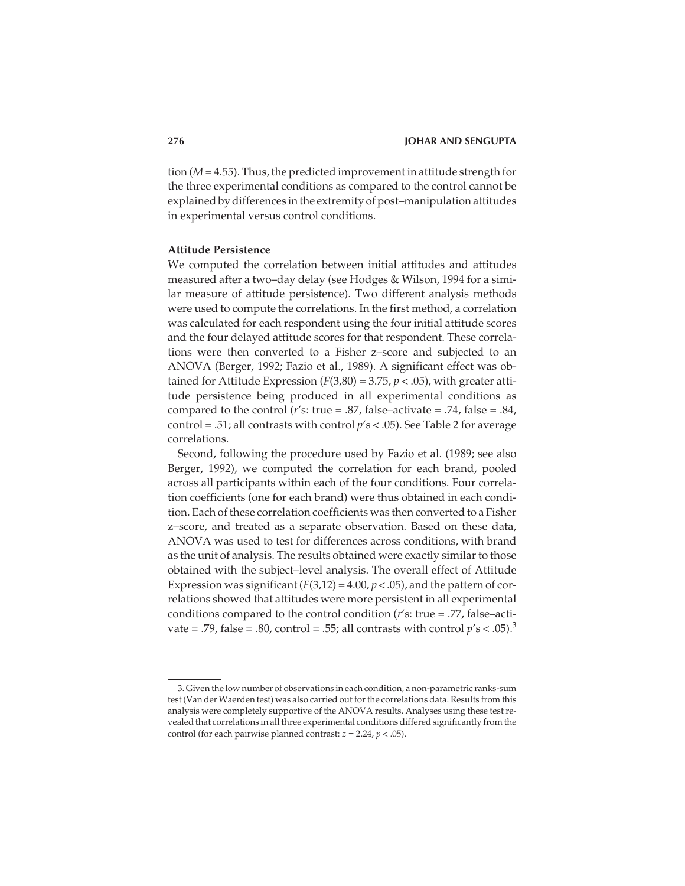tion (*M* = 4.55). Thus, the predicted improvement in attitude strength for the three experimental conditions as compared to the control cannot be explained by differences in the extremity of post–manipulation attitudes in experimental versus control conditions.

# **Attitude Persistence**

We computed the correlation between initial attitudes and attitudes measured after a two–day delay (see Hodges & Wilson, 1994 for a similar measure of attitude persistence). Two different analysis methods were used to compute the correlations. In the first method, a correlation was calculated for each respondent using the four initial attitude scores and the four delayed attitude scores for that respondent. These correlations were then converted to a Fisher z–score and subjected to an ANOVA (Berger, 1992; Fazio et al., 1989). A significant effect was obtained for Attitude Expression  $(F(3,80) = 3.75, p < .05)$ , with greater attitude persistence being produced in all experimental conditions as compared to the control ( $r$ 's: true = .87, false–activate = .74, false = .84, control = .51; all contrasts with control *p*'s < .05). See Table 2 for average correlations.

Second, following the procedure used by Fazio et al. (1989; see also Berger, 1992), we computed the correlation for each brand, pooled across all participants within each of the four conditions. Four correlation coefficients (one for each brand) were thus obtained in each condition. Each of these correlation coefficients was then converted to a Fisher z–score, and treated as a separate observation. Based on these data, ANOVA was used to test for differences across conditions, with brand as the unit of analysis. The results obtained were exactly similar to those obtained with the subject–level analysis. The overall effect of Attitude Expression was significant  $(F(3,12) = 4.00, p < .05)$ , and the pattern of correlations showed that attitudes were more persistent in all experimental conditions compared to the control condition (*r*'s: true = .77, false–activate = .79, false = .80, control = .55; all contrasts with control  $p's < .05$ .<sup>3</sup>

<sup>3.</sup> Given the low number of observations in each condition, a non-parametric ranks-sum test (Van der Waerden test) was also carried out for the correlations data. Results from this analysis were completely supportive of the ANOVA results. Analyses using these test revealed that correlations in all three experimental conditions differed significantly from the control (for each pairwise planned contrast: *z* = 2.24, *p* < .05).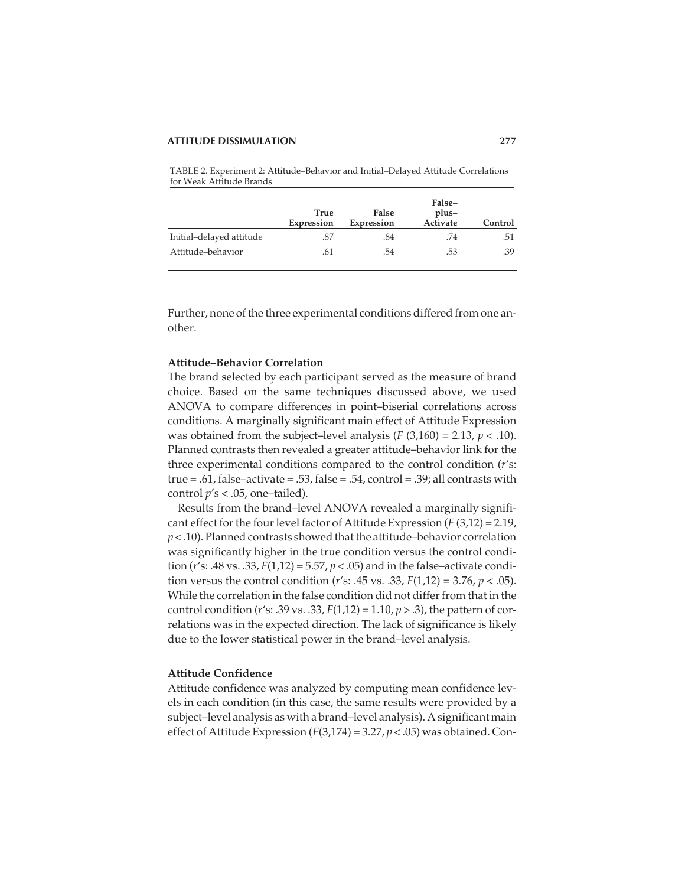TABLE 2. Experiment 2: Attitude–Behavior and Initial–Delayed Attitude Correlations for Weak Attitude Brands

|                          | True<br>Expression | False<br>Expression | False-<br>plus-<br>Activate | Control |
|--------------------------|--------------------|---------------------|-----------------------------|---------|
| Initial-delayed attitude | .87                | .84                 | .74                         | .51     |
| Attitude-behavior        | .61                | .54                 | .53                         | .39     |

Further, none of the three experimental conditions differed from one another.

# **Attitude–Behavior Correlation**

The brand selected by each participant served as the measure of brand choice. Based on the same techniques discussed above, we used ANOVA to compare differences in point–biserial correlations across conditions. A marginally significant main effect of Attitude Expression was obtained from the subject–level analysis  $(F(3,160) = 2.13, p < .10)$ . Planned contrasts then revealed a greater attitude–behavior link for the three experimental conditions compared to the control condition (*r*'s: true = .61, false–activate = .53, false = .54, control = .39; all contrasts with control *p*'s < .05, one–tailed).

Results from the brand–level ANOVA revealed a marginally significant effect for the four level factor of Attitude Expression (*F* (3,12) = 2.19, *p* < .10). Planned contrasts showed that the attitude–behavior correlation was significantly higher in the true condition versus the control condition ( $r$ 's: .48 vs. .33,  $F(1,12) = 5.57$ ,  $p < .05$ ) and in the false–activate condition versus the control condition (*r's*: .45 vs. .33,  $F(1,12) = 3.76$ ,  $p < .05$ ). While the correlation in the false condition did not differ from that in the control condition ( $r$ 's: .39 vs. .33,  $F(1,12) = 1.10, p > .3$ ), the pattern of correlations was in the expected direction. The lack of significance is likely due to the lower statistical power in the brand–level analysis.

# **Attitude Confidence**

Attitude confidence was analyzed by computing mean confidence levels in each condition (in this case, the same results were provided by a subject–level analysis as with a brand–level analysis). A significant main effect of Attitude Expression (*F*(3,174) = 3.27, *p* < .05) was obtained. Con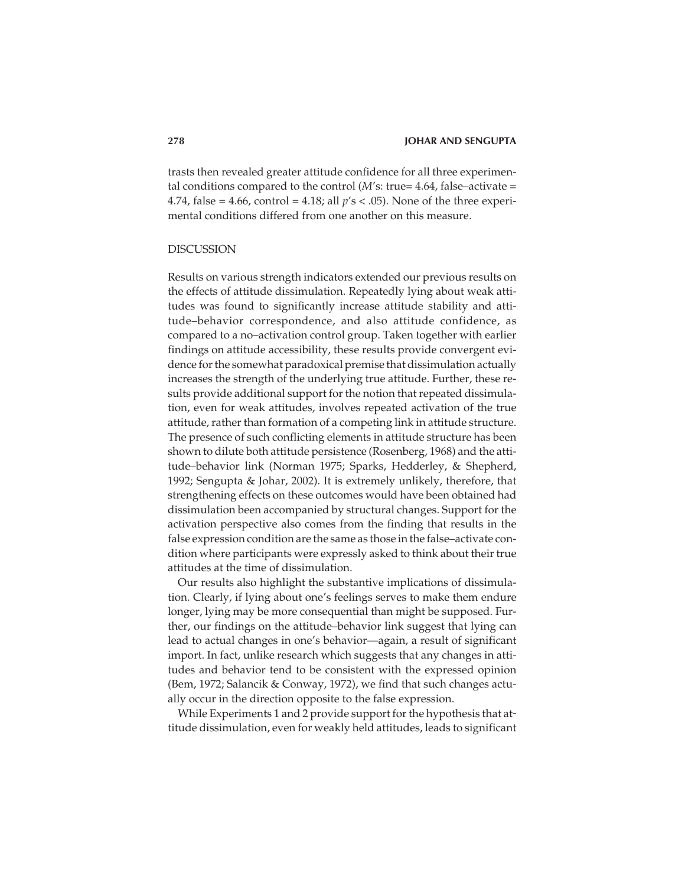trasts then revealed greater attitude confidence for all three experimental conditions compared to the control  $(M's: true = 4.64, false - active =$ 4.74, false = 4.66, control = 4.18; all  $p's < .05$ ). None of the three experimental conditions differed from one another on this measure.

### DISCUSSION

Results on various strength indicators extended our previous results on the effects of attitude dissimulation. Repeatedly lying about weak attitudes was found to significantly increase attitude stability and attitude–behavior correspondence, and also attitude confidence, as compared to a no–activation control group. Taken together with earlier findings on attitude accessibility, these results provide convergent evidence for the somewhat paradoxical premise that dissimulation actually increases the strength of the underlying true attitude. Further, these results provide additional support for the notion that repeated dissimulation, even for weak attitudes, involves repeated activation of the true attitude, rather than formation of a competing link in attitude structure. The presence of such conflicting elements in attitude structure has been shown to dilute both attitude persistence (Rosenberg, 1968) and the attitude–behavior link (Norman 1975; Sparks, Hedderley, & Shepherd, 1992; Sengupta & Johar, 2002). It is extremely unlikely, therefore, that strengthening effects on these outcomes would have been obtained had dissimulation been accompanied by structural changes. Support for the activation perspective also comes from the finding that results in the false expression condition are the same as those in the false–activate condition where participants were expressly asked to think about their true attitudes at the time of dissimulation.

Our results also highlight the substantive implications of dissimulation. Clearly, if lying about one's feelings serves to make them endure longer, lying may be more consequential than might be supposed. Further, our findings on the attitude–behavior link suggest that lying can lead to actual changes in one's behavior—again, a result of significant import. In fact, unlike research which suggests that any changes in attitudes and behavior tend to be consistent with the expressed opinion (Bem, 1972; Salancik & Conway, 1972), we find that such changes actually occur in the direction opposite to the false expression.

While Experiments 1 and 2 provide support for the hypothesis that attitude dissimulation, even for weakly held attitudes, leads to significant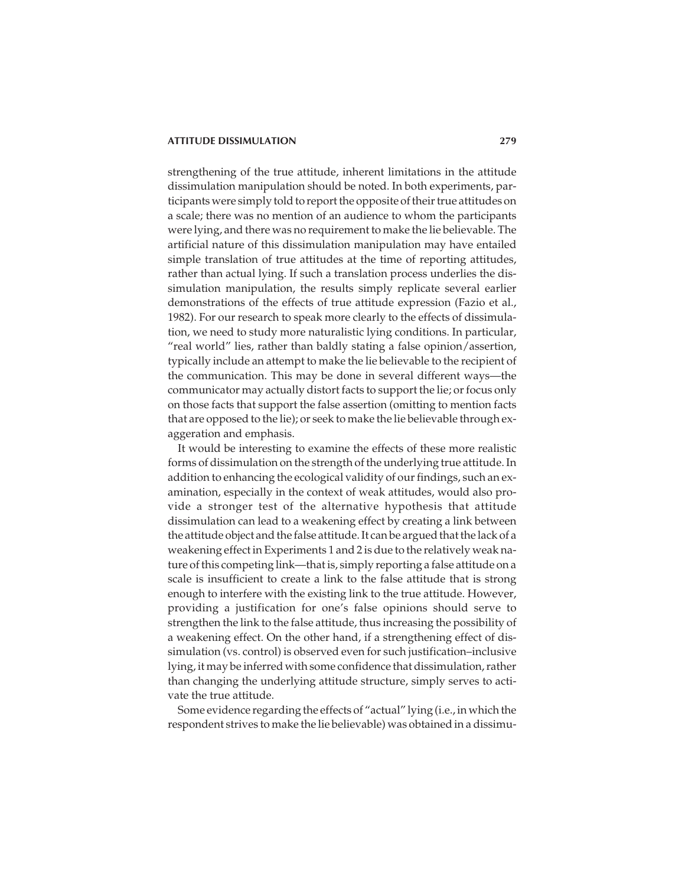strengthening of the true attitude, inherent limitations in the attitude dissimulation manipulation should be noted. In both experiments, participants were simply told to report the opposite of their true attitudes on a scale; there was no mention of an audience to whom the participants were lying, and there was no requirement to make the lie believable. The artificial nature of this dissimulation manipulation may have entailed simple translation of true attitudes at the time of reporting attitudes, rather than actual lying. If such a translation process underlies the dissimulation manipulation, the results simply replicate several earlier demonstrations of the effects of true attitude expression (Fazio et al., 1982). For our research to speak more clearly to the effects of dissimulation, we need to study more naturalistic lying conditions. In particular, "real world" lies, rather than baldly stating a false opinion/assertion, typically include an attempt to make the lie believable to the recipient of the communication. This may be done in several different ways—the communicator may actually distort facts to support the lie; or focus only on those facts that support the false assertion (omitting to mention facts that are opposed to the lie); or seek to make the lie believable through exaggeration and emphasis.

It would be interesting to examine the effects of these more realistic forms of dissimulation on the strength of the underlying true attitude. In addition to enhancing the ecological validity of our findings, such an examination, especially in the context of weak attitudes, would also provide a stronger test of the alternative hypothesis that attitude dissimulation can lead to a weakening effect by creating a link between the attitude object and the false attitude. It can be argued that the lack of a weakening effect in Experiments 1 and 2 is due to the relatively weak nature of this competing link—that is, simply reporting a false attitude on a scale is insufficient to create a link to the false attitude that is strong enough to interfere with the existing link to the true attitude. However, providing a justification for one's false opinions should serve to strengthen the link to the false attitude, thus increasing the possibility of a weakening effect. On the other hand, if a strengthening effect of dissimulation (vs. control) is observed even for such justification–inclusive lying, it may be inferred with some confidence that dissimulation, rather than changing the underlying attitude structure, simply serves to activate the true attitude.

Some evidence regarding the effects of "actual" lying (i.e., in which the respondent strives to make the lie believable) was obtained in a dissimu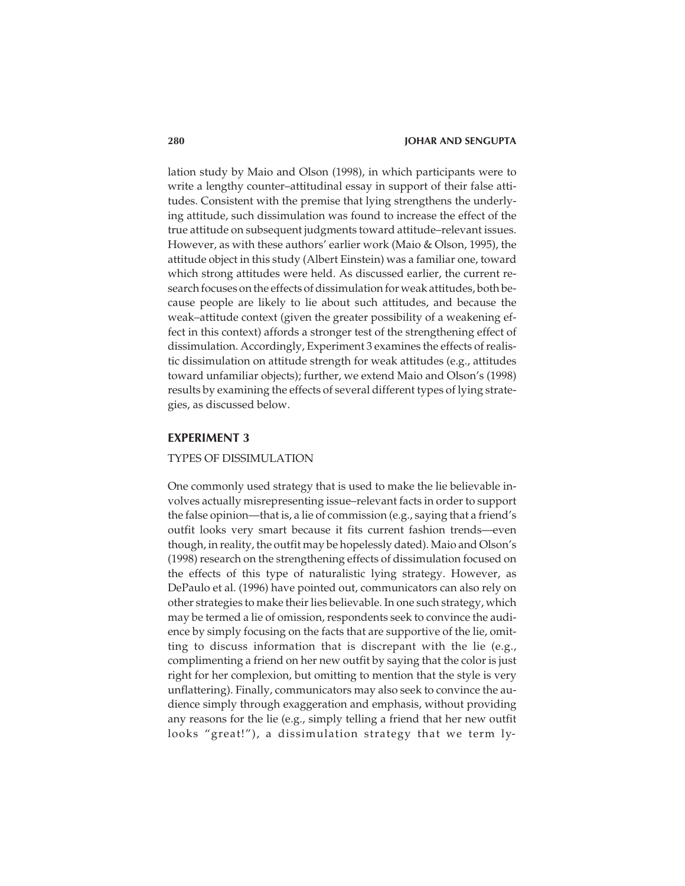lation study by Maio and Olson (1998), in which participants were to write a lengthy counter–attitudinal essay in support of their false attitudes. Consistent with the premise that lying strengthens the underlying attitude, such dissimulation was found to increase the effect of the true attitude on subsequent judgments toward attitude–relevant issues. However, as with these authors' earlier work (Maio & Olson, 1995), the attitude object in this study (Albert Einstein) was a familiar one, toward which strong attitudes were held. As discussed earlier, the current research focuses on the effects of dissimulation for weak attitudes, both because people are likely to lie about such attitudes, and because the weak–attitude context (given the greater possibility of a weakening effect in this context) affords a stronger test of the strengthening effect of dissimulation. Accordingly, Experiment 3 examines the effects of realistic dissimulation on attitude strength for weak attitudes (e.g., attitudes toward unfamiliar objects); further, we extend Maio and Olson's (1998) results by examining the effects of several different types of lying strategies, as discussed below.

# **EXPERIMENT 3**

#### TYPES OF DISSIMULATION

One commonly used strategy that is used to make the lie believable involves actually misrepresenting issue–relevant facts in order to support the false opinion—that is, a lie of commission (e.g., saying that a friend's outfit looks very smart because it fits current fashion trends—even though, in reality, the outfit may be hopelessly dated). Maio and Olson's (1998) research on the strengthening effects of dissimulation focused on the effects of this type of naturalistic lying strategy. However, as DePaulo et al. (1996) have pointed out, communicators can also rely on other strategies to make their lies believable. In one such strategy, which may be termed a lie of omission, respondents seek to convince the audience by simply focusing on the facts that are supportive of the lie, omitting to discuss information that is discrepant with the lie (e.g., complimenting a friend on her new outfit by saying that the color is just right for her complexion, but omitting to mention that the style is very unflattering). Finally, communicators may also seek to convince the audience simply through exaggeration and emphasis, without providing any reasons for the lie (e.g., simply telling a friend that her new outfit looks "great!"), a dissimulation strategy that we term ly-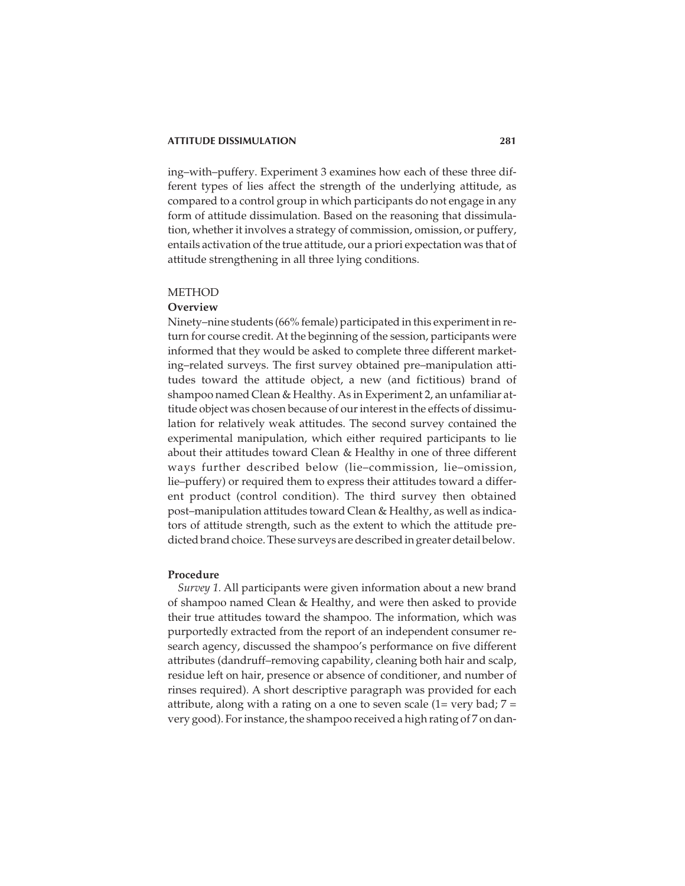ing–with–puffery. Experiment 3 examines how each of these three different types of lies affect the strength of the underlying attitude, as compared to a control group in which participants do not engage in any form of attitude dissimulation. Based on the reasoning that dissimulation, whether it involves a strategy of commission, omission, or puffery, entails activation of the true attitude, our a priori expectation was that of attitude strengthening in all three lying conditions.

#### **METHOD**

# **Overview**

Ninety–nine students (66% female) participated in this experiment in return for course credit. At the beginning of the session, participants were informed that they would be asked to complete three different marketing–related surveys. The first survey obtained pre–manipulation attitudes toward the attitude object, a new (and fictitious) brand of shampoo named Clean & Healthy. As in Experiment 2, an unfamiliar attitude object was chosen because of our interest in the effects of dissimulation for relatively weak attitudes. The second survey contained the experimental manipulation, which either required participants to lie about their attitudes toward Clean & Healthy in one of three different ways further described below (lie–commission, lie–omission, lie–puffery) or required them to express their attitudes toward a different product (control condition). The third survey then obtained post–manipulation attitudes toward Clean & Healthy, as well as indicators of attitude strength, such as the extent to which the attitude predicted brand choice. These surveys are described in greater detail below.

# **Procedure**

*Survey 1.* All participants were given information about a new brand of shampoo named Clean & Healthy, and were then asked to provide their true attitudes toward the shampoo. The information, which was purportedly extracted from the report of an independent consumer research agency, discussed the shampoo's performance on five different attributes (dandruff–removing capability, cleaning both hair and scalp, residue left on hair, presence or absence of conditioner, and number of rinses required). A short descriptive paragraph was provided for each attribute, along with a rating on a one to seven scale  $(1=$  very bad;  $7=$ very good). For instance, the shampoo received a high rating of 7 on dan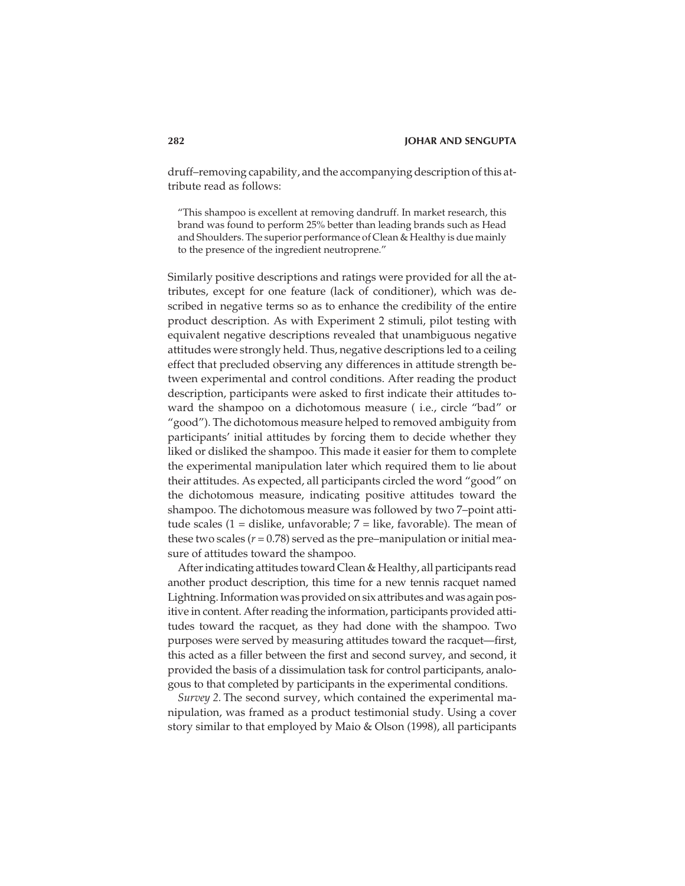druff–removing capability, and the accompanying description of this attribute read as follows:

"This shampoo is excellent at removing dandruff. In market research, this brand was found to perform 25% better than leading brands such as Head and Shoulders. The superior performance of Clean & Healthy is due mainly to the presence of the ingredient neutroprene."

Similarly positive descriptions and ratings were provided for all the attributes, except for one feature (lack of conditioner), which was described in negative terms so as to enhance the credibility of the entire product description. As with Experiment 2 stimuli, pilot testing with equivalent negative descriptions revealed that unambiguous negative attitudes were strongly held. Thus, negative descriptions led to a ceiling effect that precluded observing any differences in attitude strength between experimental and control conditions. After reading the product description, participants were asked to first indicate their attitudes toward the shampoo on a dichotomous measure ( i.e., circle "bad" or "good"). The dichotomous measure helped to removed ambiguity from participants' initial attitudes by forcing them to decide whether they liked or disliked the shampoo. This made it easier for them to complete the experimental manipulation later which required them to lie about their attitudes. As expected, all participants circled the word "good" on the dichotomous measure, indicating positive attitudes toward the shampoo. The dichotomous measure was followed by two 7–point attitude scales  $(1 - \text{dislike}, \text{unfavorable})$ ;  $7 - \text{like}, \text{favorable}$ ). The mean of these two scales  $(r = 0.78)$  served as the pre–manipulation or initial measure of attitudes toward the shampoo.

After indicating attitudes toward Clean & Healthy, all participants read another product description, this time for a new tennis racquet named Lightning. Information was provided on six attributes and was again positive in content. After reading the information, participants provided attitudes toward the racquet, as they had done with the shampoo. Two purposes were served by measuring attitudes toward the racquet—first, this acted as a filler between the first and second survey, and second, it provided the basis of a dissimulation task for control participants, analogous to that completed by participants in the experimental conditions.

*Survey 2.* The second survey, which contained the experimental manipulation, was framed as a product testimonial study. Using a cover story similar to that employed by Maio & Olson (1998), all participants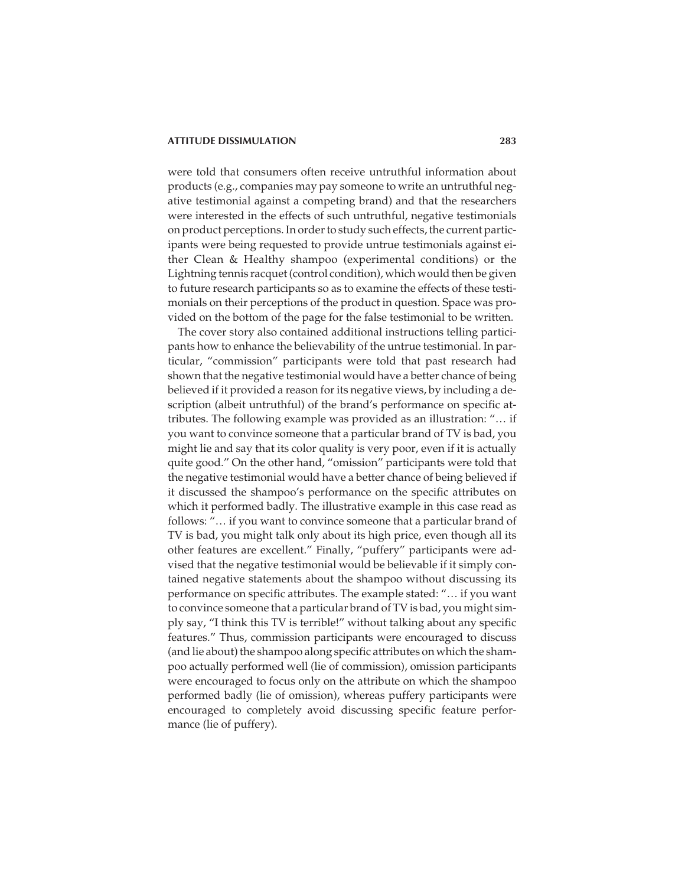were told that consumers often receive untruthful information about products (e.g., companies may pay someone to write an untruthful negative testimonial against a competing brand) and that the researchers were interested in the effects of such untruthful, negative testimonials on product perceptions. In order to study such effects, the current participants were being requested to provide untrue testimonials against either Clean & Healthy shampoo (experimental conditions) or the Lightning tennis racquet (control condition), which would then be given to future research participants so as to examine the effects of these testimonials on their perceptions of the product in question. Space was provided on the bottom of the page for the false testimonial to be written.

The cover story also contained additional instructions telling participants how to enhance the believability of the untrue testimonial. In particular, "commission" participants were told that past research had shown that the negative testimonial would have a better chance of being believed if it provided a reason for its negative views, by including a description (albeit untruthful) of the brand's performance on specific attributes. The following example was provided as an illustration: "… if you want to convince someone that a particular brand of TV is bad, you might lie and say that its color quality is very poor, even if it is actually quite good." On the other hand, "omission" participants were told that the negative testimonial would have a better chance of being believed if it discussed the shampoo's performance on the specific attributes on which it performed badly. The illustrative example in this case read as follows: "… if you want to convince someone that a particular brand of TV is bad, you might talk only about its high price, even though all its other features are excellent." Finally, "puffery" participants were advised that the negative testimonial would be believable if it simply contained negative statements about the shampoo without discussing its performance on specific attributes. The example stated: "… if you want to convince someone that a particular brand of TV is bad, you might simply say, "I think this TV is terrible!" without talking about any specific features." Thus, commission participants were encouraged to discuss (and lie about) the shampoo along specific attributes on which the shampoo actually performed well (lie of commission), omission participants were encouraged to focus only on the attribute on which the shampoo performed badly (lie of omission), whereas puffery participants were encouraged to completely avoid discussing specific feature performance (lie of puffery).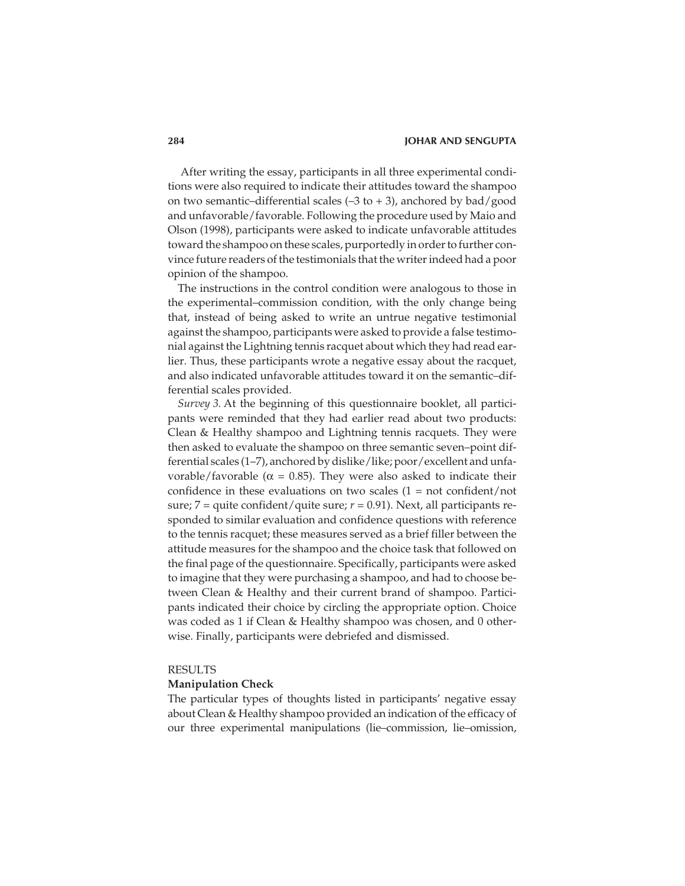#### **284 JOHAR AND SENGUPTA**

After writing the essay, participants in all three experimental conditions were also required to indicate their attitudes toward the shampoo on two semantic–differential scales  $(-3 \text{ to } +3)$ , anchored by bad/good and unfavorable/favorable. Following the procedure used by Maio and Olson (1998), participants were asked to indicate unfavorable attitudes toward the shampoo on these scales, purportedly in order to further convince future readers of the testimonials that the writer indeed had a poor opinion of the shampoo.

The instructions in the control condition were analogous to those in the experimental–commission condition, with the only change being that, instead of being asked to write an untrue negative testimonial against the shampoo, participants were asked to provide a false testimonial against the Lightning tennis racquet about which they had read earlier. Thus, these participants wrote a negative essay about the racquet, and also indicated unfavorable attitudes toward it on the semantic–differential scales provided.

*Survey 3.* At the beginning of this questionnaire booklet, all participants were reminded that they had earlier read about two products: Clean & Healthy shampoo and Lightning tennis racquets. They were then asked to evaluate the shampoo on three semantic seven–point differential scales (1–7), anchored by dislike/like; poor/excellent and unfavorable/favorable (α = 0.85). They were also asked to indicate their confidence in these evaluations on two scales  $(1 = not confident/not$ sure; 7 = quite confident/quite sure; *r* = 0.91). Next, all participants responded to similar evaluation and confidence questions with reference to the tennis racquet; these measures served as a brief filler between the attitude measures for the shampoo and the choice task that followed on the final page of the questionnaire. Specifically, participants were asked to imagine that they were purchasing a shampoo, and had to choose between Clean & Healthy and their current brand of shampoo. Participants indicated their choice by circling the appropriate option. Choice was coded as 1 if Clean & Healthy shampoo was chosen, and 0 otherwise. Finally, participants were debriefed and dismissed.

# RESULTS

#### **Manipulation Check**

The particular types of thoughts listed in participants' negative essay about Clean & Healthy shampoo provided an indication of the efficacy of our three experimental manipulations (lie–commission, lie–omission,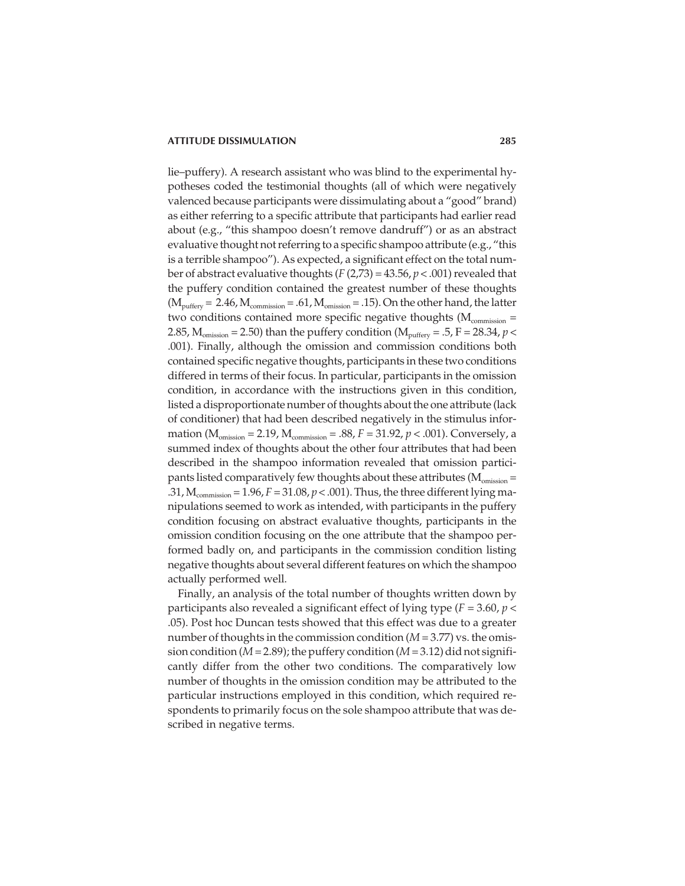lie–puffery). A research assistant who was blind to the experimental hypotheses coded the testimonial thoughts (all of which were negatively valenced because participants were dissimulating about a "good" brand) as either referring to a specific attribute that participants had earlier read about (e.g., "this shampoo doesn't remove dandruff") or as an abstract evaluative thought not referring to a specific shampoo attribute (e.g., "this is a terrible shampoo"). As expected, a significant effect on the total number of abstract evaluative thoughts (*F* (2,73) = 43.56, *p* < .001) revealed that the puffery condition contained the greatest number of these thoughts  $(M_{\text{vufferv}} = 2.46, M_{\text{commission}} = .61, M_{\text{omission}} = .15)$ . On the other hand, the latter two conditions contained more specific negative thoughts ( $M_{\text{commission}} =$ 2.85,  $M_{\text{omission}} = 2.50$ ) than the puffery condition ( $M_{\text{puffery}} = .5$ ,  $F = 28.34$ ,  $p <$ .001). Finally, although the omission and commission conditions both contained specific negative thoughts, participants in these two conditions differed in terms of their focus. In particular, participants in the omission condition, in accordance with the instructions given in this condition, listed a disproportionate number of thoughts about the one attribute (lack of conditioner) that had been described negatively in the stimulus information ( $M_{\text{omission}} = 2.19$ ,  $M_{\text{commission}} = .88$ ,  $F = 31.92$ ,  $p < .001$ ). Conversely, a summed index of thoughts about the other four attributes that had been described in the shampoo information revealed that omission participants listed comparatively few thoughts about these attributes ( $M_{\text{omission}}$  = .31,  $M_{\text{commission}} = 1.96$ ,  $F = 31.08$ ,  $p < .001$ ). Thus, the three different lying manipulations seemed to work as intended, with participants in the puffery condition focusing on abstract evaluative thoughts, participants in the omission condition focusing on the one attribute that the shampoo performed badly on, and participants in the commission condition listing negative thoughts about several different features on which the shampoo actually performed well.

Finally, an analysis of the total number of thoughts written down by participants also revealed a significant effect of lying type (*F* = 3.60, *p* < .05). Post hoc Duncan tests showed that this effect was due to a greater number of thoughts in the commission condition (*M* = 3.77) vs. the omission condition (*M*= 2.89); the puffery condition (*M*= 3.12) did not significantly differ from the other two conditions. The comparatively low number of thoughts in the omission condition may be attributed to the particular instructions employed in this condition, which required respondents to primarily focus on the sole shampoo attribute that was described in negative terms.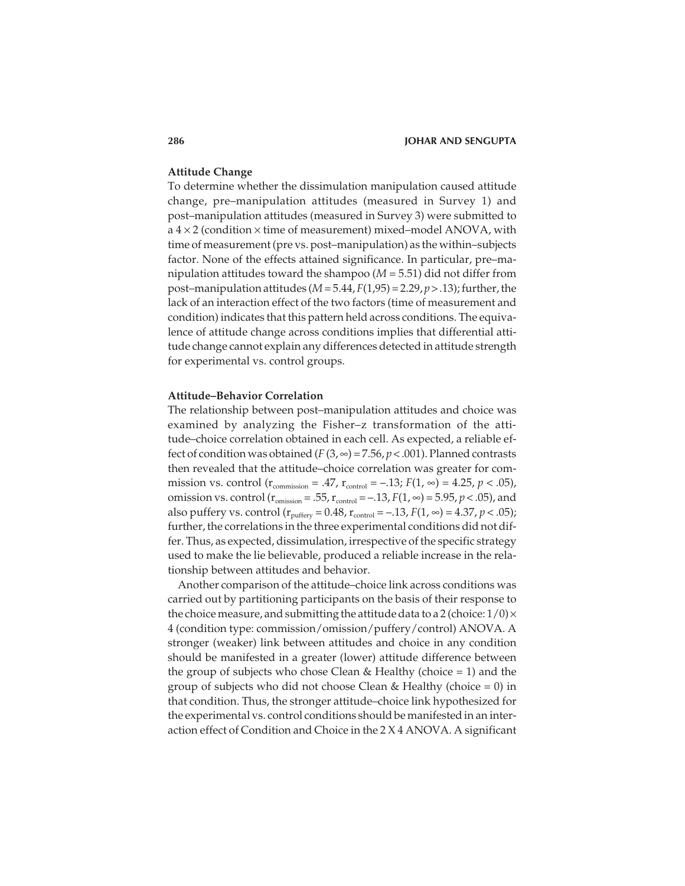# **Attitude Change**

To determine whether the dissimulation manipulation caused attitude change, pre–manipulation attitudes (measured in Survey 1) and post–manipulation attitudes (measured in Survey 3) were submitted to  $a$  4  $\times$  2 (condition  $\times$  time of measurement) mixed–model ANOVA, with time of measurement (pre vs. post–manipulation) as the within–subjects factor. None of the effects attained significance. In particular, pre–manipulation attitudes toward the shampoo (*M* = 5.51) did not differ from post–manipulation attitudes (*M*= 5.44, *F*(1,95) = 2.29, *p* > .13); further, the lack of an interaction effect of the two factors (time of measurement and condition) indicates that this pattern held across conditions. The equivalence of attitude change across conditions implies that differential attitude change cannot explain any differences detected in attitude strength for experimental vs. control groups.

### **Attitude–Behavior Correlation**

The relationship between post–manipulation attitudes and choice was examined by analyzing the Fisher–z transformation of the attitude–choice correlation obtained in each cell. As expected, a reliable effect of condition was obtained  $(F(3, \infty) = 7.56, p < .001)$ . Planned contrasts then revealed that the attitude–choice correlation was greater for commission vs. control  $(r_{\text{commission}} = .47, r_{\text{control}} = -.13; F(1, \infty) = 4.25, p < .05)$ , omission vs. control ( $r_{\text{omission}} = .55$ ,  $r_{\text{control}} = -.13$ ,  $F(1, \infty) = 5.95$ ,  $p < .05$ ), and also puffery vs. control ( $r_{\text{puffery}}$  = 0.48,  $r_{\text{control}}$  = −.13,  $F(1, ∞)$  = 4.37,  $p$  < .05); further, the correlations in the three experimental conditions did not differ. Thus, as expected, dissimulation, irrespective of the specific strategy used to make the lie believable, produced a reliable increase in the relationship between attitudes and behavior.

Another comparison of the attitude–choice link across conditions was carried out by partitioning participants on the basis of their response to the choice measure, and submitting the attitude data to a 2 (choice:  $1/0 \times$ 4 (condition type: commission/omission/puffery/control) ANOVA. A stronger (weaker) link between attitudes and choice in any condition should be manifested in a greater (lower) attitude difference between the group of subjects who chose Clean  $\&$  Healthy (choice = 1) and the group of subjects who did not choose Clean  $\&$  Healthy (choice = 0) in that condition. Thus, the stronger attitude–choice link hypothesized for the experimental vs. control conditions should be manifested in an interaction effect of Condition and Choice in the2X4 ANOVA. A significant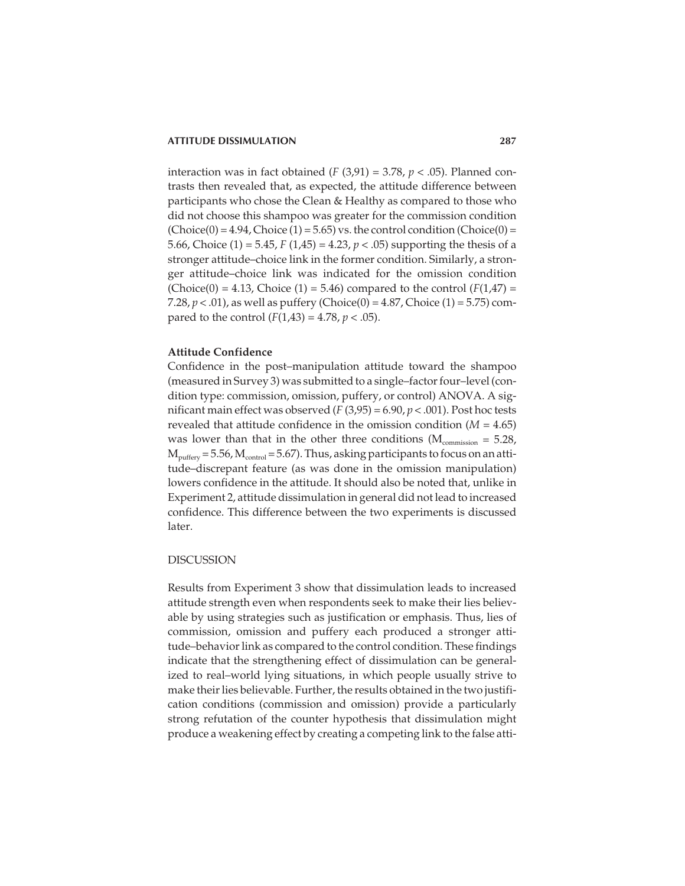interaction was in fact obtained  $(F(3,91) = 3.78, p < .05)$ . Planned contrasts then revealed that, as expected, the attitude difference between participants who chose the Clean & Healthy as compared to those who did not choose this shampoo was greater for the commission condition  $(Choice(0) = 4.94, Choice(1) = 5.65)$  vs. the control condition  $(Choice(0) = 1.94)$ 5.66, Choice (1) = 5.45, *F* (1,45) = 4.23, *p* < .05) supporting the thesis of a stronger attitude–choice link in the former condition. Similarly, a stronger attitude–choice link was indicated for the omission condition  $(Choice(0) = 4.13, Choice (1) = 5.46) compared to the control (*F*(1,47)) =$ 7.28, *p* < .01), as well as puffery (Choice(0) = 4.87, Choice (1) = 5.75) compared to the control  $(F(1,43) = 4.78, p < .05)$ .

# **Attitude Confidence**

Confidence in the post–manipulation attitude toward the shampoo (measured in Survey 3) was submitted to a single–factor four–level (condition type: commission, omission, puffery, or control) ANOVA. A significant main effect was observed  $(F(3,95) = 6.90, p < .001)$ . Post hoc tests revealed that attitude confidence in the omission condition (*M* = 4.65) was lower than that in the other three conditions ( $M_{\text{commission}} = 5.28$ ,  $M_{\text{puffery}} = 5.56$ ,  $M_{\text{control}} = 5.67$ ). Thus, asking participants to focus on an attitude–discrepant feature (as was done in the omission manipulation) lowers confidence in the attitude. It should also be noted that, unlike in Experiment 2, attitude dissimulation in general did not lead to increased confidence. This difference between the two experiments is discussed later.

# DISCUSSION

Results from Experiment 3 show that dissimulation leads to increased attitude strength even when respondents seek to make their lies believable by using strategies such as justification or emphasis. Thus, lies of commission, omission and puffery each produced a stronger attitude–behavior link as compared to the control condition. These findings indicate that the strengthening effect of dissimulation can be generalized to real–world lying situations, in which people usually strive to make their lies believable. Further, the results obtained in the two justification conditions (commission and omission) provide a particularly strong refutation of the counter hypothesis that dissimulation might produce a weakening effect by creating a competing link to the false atti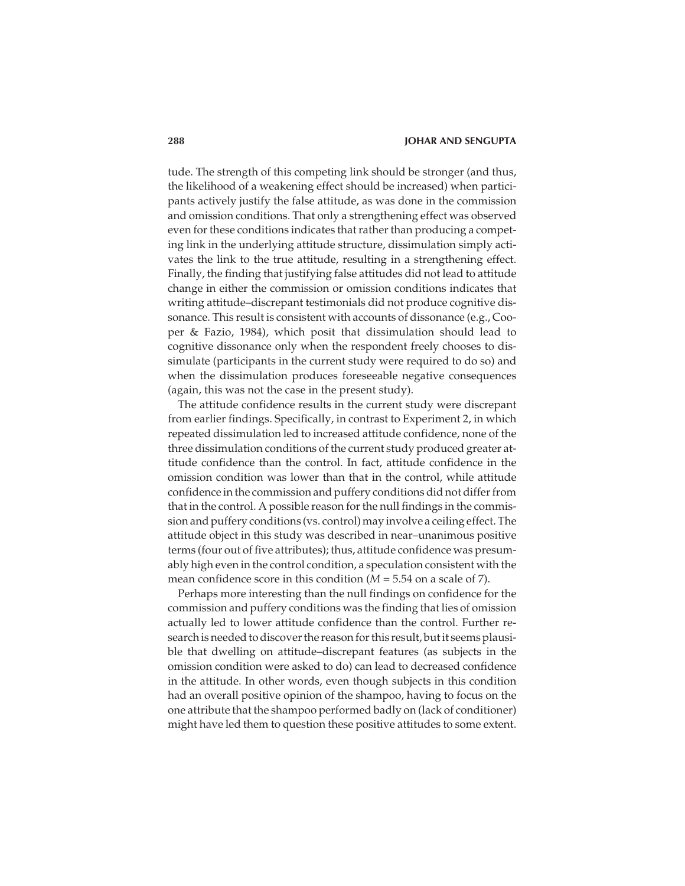tude. The strength of this competing link should be stronger (and thus, the likelihood of a weakening effect should be increased) when participants actively justify the false attitude, as was done in the commission and omission conditions. That only a strengthening effect was observed even for these conditions indicates that rather than producing a competing link in the underlying attitude structure, dissimulation simply activates the link to the true attitude, resulting in a strengthening effect. Finally, the finding that justifying false attitudes did not lead to attitude change in either the commission or omission conditions indicates that writing attitude–discrepant testimonials did not produce cognitive dissonance. This result is consistent with accounts of dissonance (e.g., Cooper & Fazio, 1984), which posit that dissimulation should lead to cognitive dissonance only when the respondent freely chooses to dissimulate (participants in the current study were required to do so) and when the dissimulation produces foreseeable negative consequences (again, this was not the case in the present study).

The attitude confidence results in the current study were discrepant from earlier findings. Specifically, in contrast to Experiment 2, in which repeated dissimulation led to increased attitude confidence, none of the three dissimulation conditions of the current study produced greater attitude confidence than the control. In fact, attitude confidence in the omission condition was lower than that in the control, while attitude confidence in the commission and puffery conditions did not differ from that in the control. A possible reason for the null findings in the commission and puffery conditions (vs. control) may involve a ceiling effect. The attitude object in this study was described in near–unanimous positive terms (four out of five attributes); thus, attitude confidence was presumably high even in the control condition, a speculation consistent with the mean confidence score in this condition (*M* = 5.54 on a scale of 7).

Perhaps more interesting than the null findings on confidence for the commission and puffery conditions was the finding that lies of omission actually led to lower attitude confidence than the control. Further research is needed to discover the reason for this result, but it seems plausible that dwelling on attitude–discrepant features (as subjects in the omission condition were asked to do) can lead to decreased confidence in the attitude. In other words, even though subjects in this condition had an overall positive opinion of the shampoo, having to focus on the one attribute that the shampoo performed badly on (lack of conditioner) might have led them to question these positive attitudes to some extent.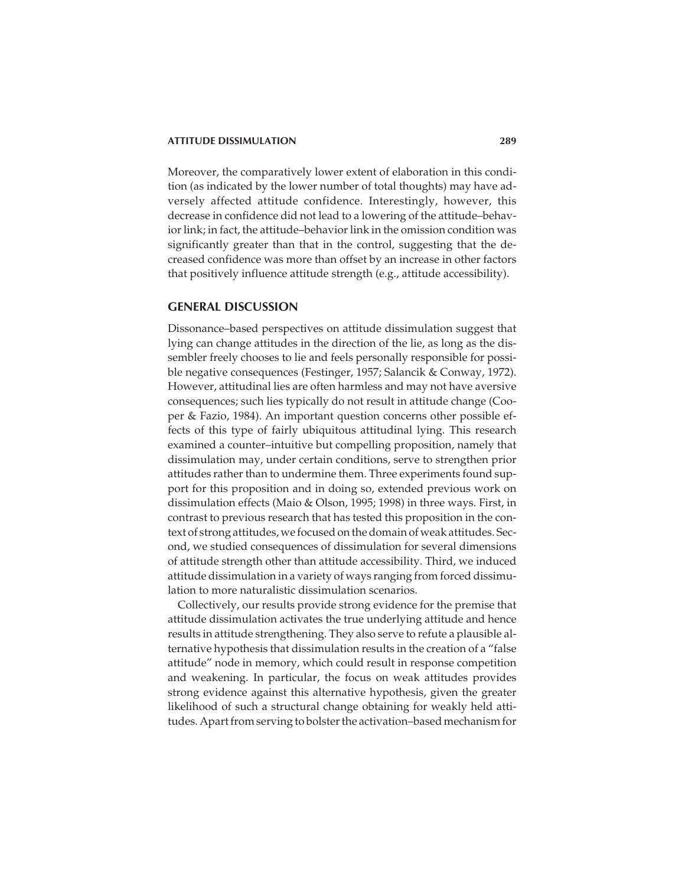Moreover, the comparatively lower extent of elaboration in this condition (as indicated by the lower number of total thoughts) may have adversely affected attitude confidence. Interestingly, however, this decrease in confidence did not lead to a lowering of the attitude–behavior link; in fact, the attitude–behavior link in the omission condition was significantly greater than that in the control, suggesting that the decreased confidence was more than offset by an increase in other factors that positively influence attitude strength (e.g., attitude accessibility).

# **GENERAL DISCUSSION**

Dissonance–based perspectives on attitude dissimulation suggest that lying can change attitudes in the direction of the lie, as long as the dissembler freely chooses to lie and feels personally responsible for possible negative consequences (Festinger, 1957; Salancik & Conway, 1972). However, attitudinal lies are often harmless and may not have aversive consequences; such lies typically do not result in attitude change (Cooper & Fazio, 1984). An important question concerns other possible effects of this type of fairly ubiquitous attitudinal lying. This research examined a counter–intuitive but compelling proposition, namely that dissimulation may, under certain conditions, serve to strengthen prior attitudes rather than to undermine them. Three experiments found support for this proposition and in doing so, extended previous work on dissimulation effects (Maio & Olson, 1995; 1998) in three ways. First, in contrast to previous research that has tested this proposition in the context of strong attitudes, we focused on the domain of weak attitudes. Second, we studied consequences of dissimulation for several dimensions of attitude strength other than attitude accessibility. Third, we induced attitude dissimulation in a variety of ways ranging from forced dissimulation to more naturalistic dissimulation scenarios.

Collectively, our results provide strong evidence for the premise that attitude dissimulation activates the true underlying attitude and hence results in attitude strengthening. They also serve to refute a plausible alternative hypothesis that dissimulation results in the creation of a "false attitude" node in memory, which could result in response competition and weakening. In particular, the focus on weak attitudes provides strong evidence against this alternative hypothesis, given the greater likelihood of such a structural change obtaining for weakly held attitudes. Apart from serving to bolster the activation–based mechanism for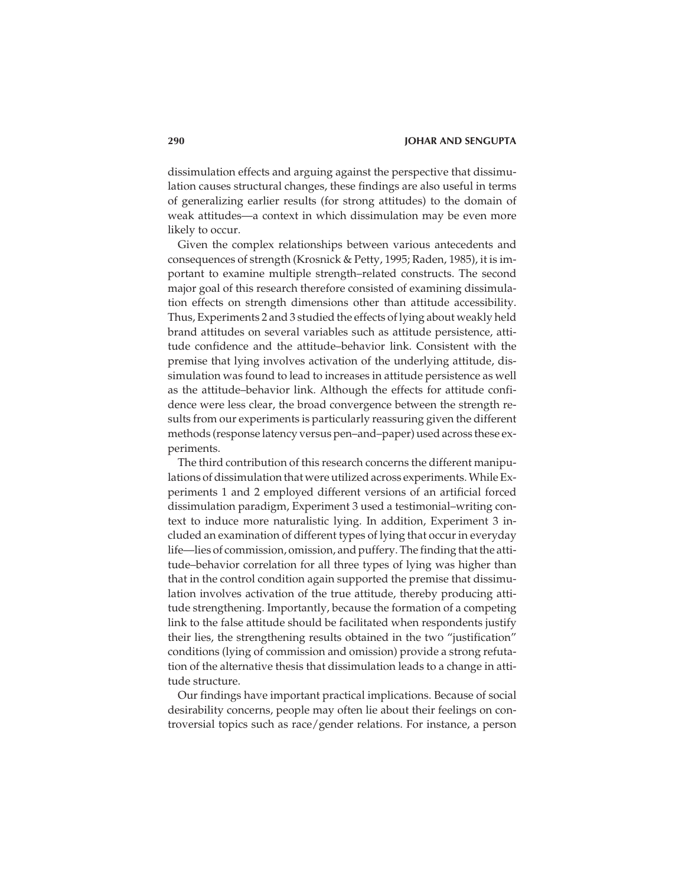dissimulation effects and arguing against the perspective that dissimulation causes structural changes, these findings are also useful in terms of generalizing earlier results (for strong attitudes) to the domain of weak attitudes—a context in which dissimulation may be even more likely to occur.

Given the complex relationships between various antecedents and consequences of strength (Krosnick & Petty, 1995; Raden, 1985), it is important to examine multiple strength–related constructs. The second major goal of this research therefore consisted of examining dissimulation effects on strength dimensions other than attitude accessibility. Thus, Experiments 2 and 3 studied the effects of lying about weakly held brand attitudes on several variables such as attitude persistence, attitude confidence and the attitude–behavior link. Consistent with the premise that lying involves activation of the underlying attitude, dissimulation was found to lead to increases in attitude persistence as well as the attitude–behavior link. Although the effects for attitude confidence were less clear, the broad convergence between the strength results from our experiments is particularly reassuring given the different methods (response latency versus pen–and–paper) used across these experiments.

The third contribution of this research concerns the different manipulations of dissimulation that were utilized across experiments. While Experiments 1 and 2 employed different versions of an artificial forced dissimulation paradigm, Experiment 3 used a testimonial–writing context to induce more naturalistic lying. In addition, Experiment 3 included an examination of different types of lying that occur in everyday life—lies of commission, omission, and puffery. The finding that the attitude–behavior correlation for all three types of lying was higher than that in the control condition again supported the premise that dissimulation involves activation of the true attitude, thereby producing attitude strengthening. Importantly, because the formation of a competing link to the false attitude should be facilitated when respondents justify their lies, the strengthening results obtained in the two "justification" conditions (lying of commission and omission) provide a strong refutation of the alternative thesis that dissimulation leads to a change in attitude structure.

Our findings have important practical implications. Because of social desirability concerns, people may often lie about their feelings on controversial topics such as race/gender relations. For instance, a person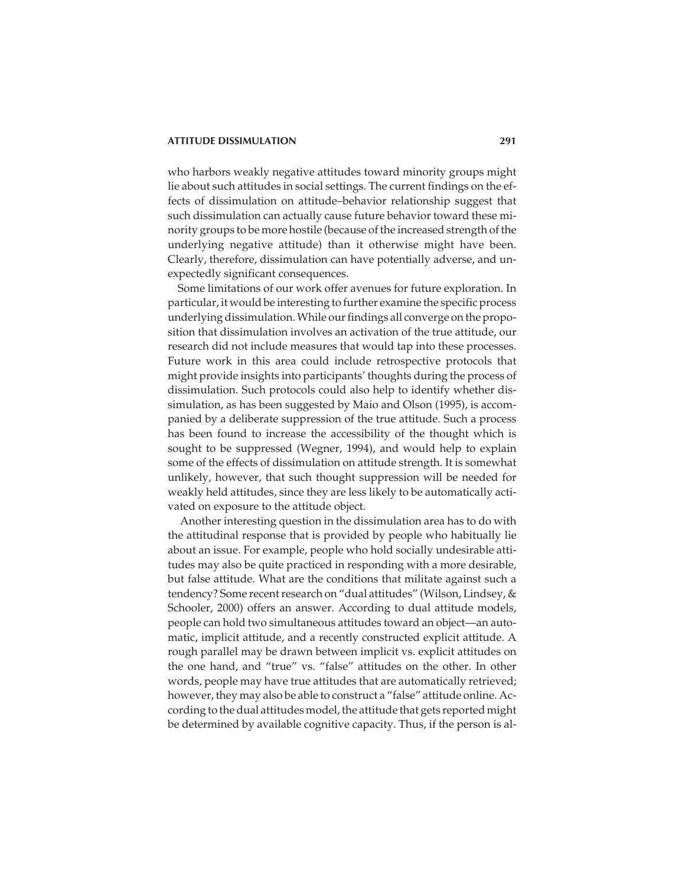who harbors weakly negative attitudes toward minority groups might lie about such attitudes in social settings. The current findings on the effects of dissimulation on attitude–behavior relationship suggest that such dissimulation can actually cause future behavior toward these minority groups to be more hostile (because of the increased strength of the underlying negative attitude) than it otherwise might have been. Clearly, therefore, dissimulation can have potentially adverse, and unexpectedly significant consequences.

Some limitations of our work offer avenues for future exploration. In particular, it would be interesting to further examine the specific process underlying dissimulation. While our findings all converge on the proposition that dissimulation involves an activation of the true attitude, our research did not include measures that would tap into these processes. Future work in this area could include retrospective protocols that might provide insights into participants' thoughts during the process of dissimulation. Such protocols could also help to identify whether dissimulation, as has been suggested by Maio and Olson (1995), is accompanied by a deliberate suppression of the true attitude. Such a process has been found to increase the accessibility of the thought which is sought to be suppressed (Wegner, 1994), and would help to explain some of the effects of dissimulation on attitude strength. It is somewhat unlikely, however, that such thought suppression will be needed for weakly held attitudes, since they are less likely to be automatically activated on exposure to the attitude object.

Another interesting question in the dissimulation area has to do with the attitudinal response that is provided by people who habitually lie about an issue. For example, people who hold socially undesirable attitudes may also be quite practiced in responding with a more desirable, but false attitude. What are the conditions that militate against such a tendency? Some recent research on "dual attitudes" (Wilson, Lindsey, & Schooler, 2000) offers an answer. According to dual attitude models, people can hold two simultaneous attitudes toward an object—an automatic, implicit attitude, and a recently constructed explicit attitude. A rough parallel may be drawn between implicit vs. explicit attitudes on the one hand, and "true" vs. "false" attitudes on the other. In other words, people may have true attitudes that are automatically retrieved; however, they may also be able to construct a "false" attitude online. According to the dual attitudes model, the attitude that gets reported might be determined by available cognitive capacity. Thus, if the person is al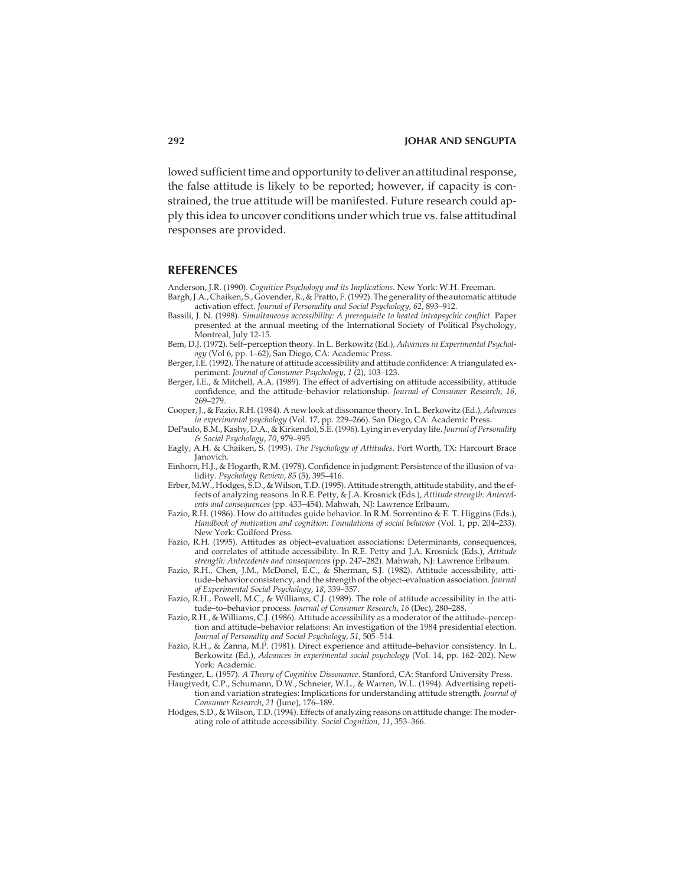lowed sufficient time and opportunity to deliver an attitudinal response, the false attitude is likely to be reported; however, if capacity is constrained, the true attitude will be manifested. Future research could apply this idea to uncover conditions under which true vs. false attitudinal responses are provided.

# **REFERENCES**

Anderson, J.R. (1990). *Cognitive Psychology and its Implications*. New York: W.H. Freeman. Bargh, J.A., Chaiken, S., Govender, R., & Pratto, F. (1992). The generality of the automatic attitude

- activation effect. *Journal of Personality and Social Psychology*, *62*, 893–912.
- Bassili, J. N. (1998). *Simultaneous accessibility: A prerequisite to heated intrapsychic conflict.* Paper presented at the annual meeting of the International Society of Political Psychology, Montreal, July 12-15.
- Bem, D.J. (1972). Self–perception theory. In L. Berkowitz (Ed.), *Advances in Experimental Psychology* (Vol 6, pp. 1–62), San Diego, CA: Academic Press.
- Berger, I.E. (1992). The nature of attitude accessibility and attitude confidence: A triangulated experiment. *Journal of Consumer Psychology*, *1* (2), 103–123.
- Berger, I.E., & Mitchell, A.A. (1989). The effect of advertising on attitude accessibility, attitude confidence, and the attitude–behavior relationship. *Journal of Consumer Research*, *16*, 269–279.
- Cooper, J., & Fazio, R.H. (1984). A new look at dissonance theory. In L. Berkowitz (Ed.), *Advances in experimental psychology* (Vol. 17, pp. 229–266). San Diego, CA: Academic Press.
- DePaulo, B.M., Kashy, D.A., & Kirkendol, S.E. (1996). Lying in everyday life.*Journal of Personality & Social Psychology*, *70*, 979–995.
- Eagly, A.H. & Chaiken, S. (1993). *The Psychology of Attitudes*. Fort Worth, TX: Harcourt Brace Janovich.
- Einhorn, H.J., & Hogarth, R.M. (1978). Confidence in judgment: Persistence of the illusion of validity. *Psychology Review*, *85* (5), 395–416.
- Erber, M.W., Hodges, S.D., & Wilson, T.D. (1995). Attitude strength, attitude stability, and the effects of analyzing reasons. In R.E. Petty, & J.A. Krosnick (Eds.), *Attitude strength: Antecedents and consequences* (pp. 433–454). Mahwah, NJ: Lawrence Erlbaum.
- Fazio, R.H. (1986). How do attitudes guide behavior. In R.M. Sorrentino & E. T. Higgins (Eds.), *Handbook of motivation and cognition: Foundations of social behavior* (Vol. 1, pp. 204–233). New York: Guilford Press.
- Fazio, R.H. (1995). Attitudes as object–evaluation associations: Determinants, consequences, and correlates of attitude accessibility. In R.E. Petty and J.A. Krosnick (Eds.), *Attitude strength: Antecedents and consequences* (pp. 247–282). Mahwah, NJ: Lawrence Erlbaum.
- Fazio, R.H., Chen, J.M., McDonel, E.C., & Sherman, S.J. (1982). Attitude accessibility, attitude–behavior consistency, and the strength of the object–evaluation association. *Journal of Experimental Social Psychology*, *18*, 339–357.
- Fazio, R.H., Powell, M.C., & Williams, C.J. (1989). The role of attitude accessibility in the attitude–to–behavior process. *Journal of Consumer Research*, *16* (Dec), 280–288.
- Fazio, R.H., & Williams, C.J. (1986). Attitude accessibility as a moderator of the attitude–perception and attitude–behavior relations: An investigation of the 1984 presidential election. *Journal of Personality and Social Psychology*, *51*, 505–514.
- Fazio, R.H., & Zanna, M.P. (1981). Direct experience and attitude–behavior consistency. In L. Berkowitz (Ed.), *Advances in experimental social psychology* (Vol. 14, pp. 162–202). New York: Academic.
- Festinger, L. (1957). *A Theory of Cognitive Dissonance*. Stanford, CA: Stanford University Press.
- Haugtvedt, C.P., Schumann, D.W., Schneier, W.L., & Warren, W.L. (1994). Advertising repetition and variation strategies: Implications for understanding attitude strength. *Journal of Consumer Research*, *21* (June), 176–189.
- Hodges, S.D., & Wilson, T.D. (1994). Effects of analyzing reasons on attitude change: The moderating role of attitude accessibility. *Social Cognition*, *11*, 353–366.